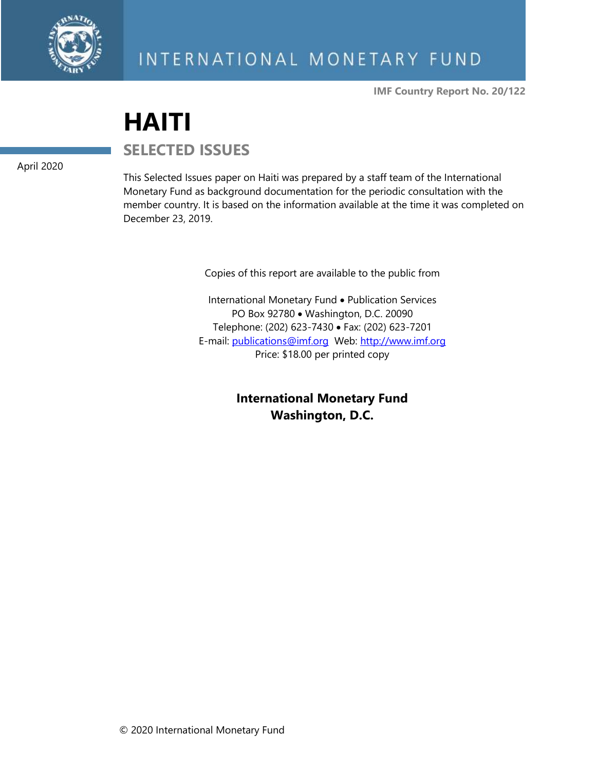

**IMF Country Report No. 20/122**

# **HAITI**

April 2020

**SELECTED ISSUES** 

This Selected Issues paper on Haiti was prepared by a staff team of the International Monetary Fund as background documentation for the periodic consultation with the member country. It is based on the information available at the time it was completed on December 23, 2019.

Copies of this report are available to the public from

International Monetary Fund • Publication Services PO Box 92780 • Washington, D.C. 20090 Telephone: (202) 623-7430 • Fax: (202) 623-7201 E-mail: [publications@imf.org](mailto:publications@imf.org) Web: [http://www.imf.org](http://www.imf.org/) Price: \$18.00 per printed copy

> **International Monetary Fund Washington, D.C.**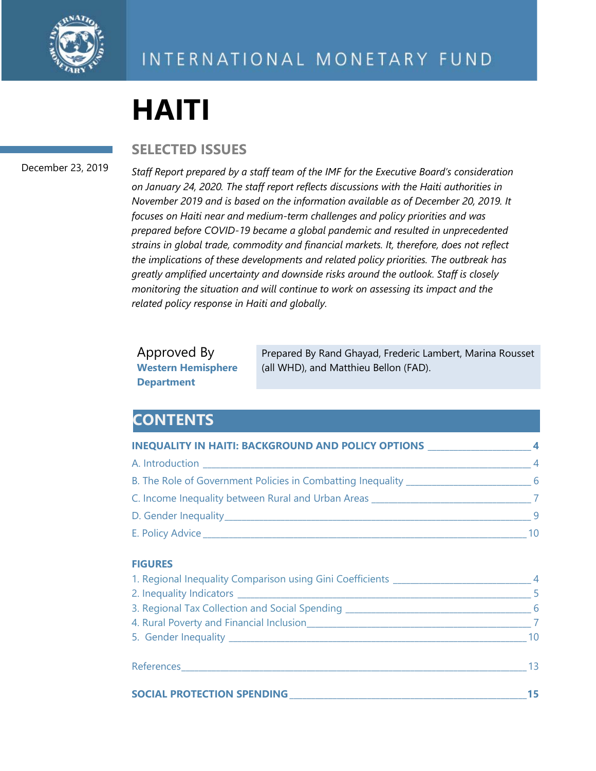

# **HAITI**

**SELECTED ISSUES**

#### December 23, 2019

*Staff Report prepared by a staff team of the IMF for the Executive Board's consideration on January 24, 2020. The staff report reflects discussions with the Haiti authorities in November 2019 and is based on the information available as of December 20, 2019. It focuses on Haiti near and medium-term challenges and policy priorities and was prepared before COVID-19 became a global pandemic and resulted in unprecedented strains in global trade, commodity and financial markets. It, therefore, does not reflect the implications of these developments and related policy priorities. The outbreak has greatly amplified uncertainty and downside risks around the outlook. Staff is closely monitoring the situation and will continue to work on assessing its impact and the related policy response in Haiti and globally.*

Approved By **Western Hemisphere Department**

Prepared By Rand Ghayad, Frederic Lambert, Marina Rousset (all WHD), and Matthieu Bellon (FAD).

# **CONTENTS**

| <b>INEQUALITY IN HAITI: BACKGROUND AND POLICY OPTIONS</b>                        | 4              |
|----------------------------------------------------------------------------------|----------------|
|                                                                                  | $\overline{4}$ |
| B. The Role of Government Policies in Combatting Inequality_____________________ | -6             |
| C. Income Inequality between Rural and Urban Areas                               |                |
|                                                                                  | - 9            |
| E. Policy Advice ________________________                                        | 10             |

#### **FIGURES**

|                                                                                           | $\sim$ 5        |
|-------------------------------------------------------------------------------------------|-----------------|
|                                                                                           |                 |
| 4. Rural Poverty and Financial Inclusion <b>Analyzine Community Community Community</b> 7 |                 |
|                                                                                           | 10 <sup>°</sup> |
|                                                                                           | $\overline{13}$ |
| <b>SOCIAL PROTECTION SPENDING</b>                                                         |                 |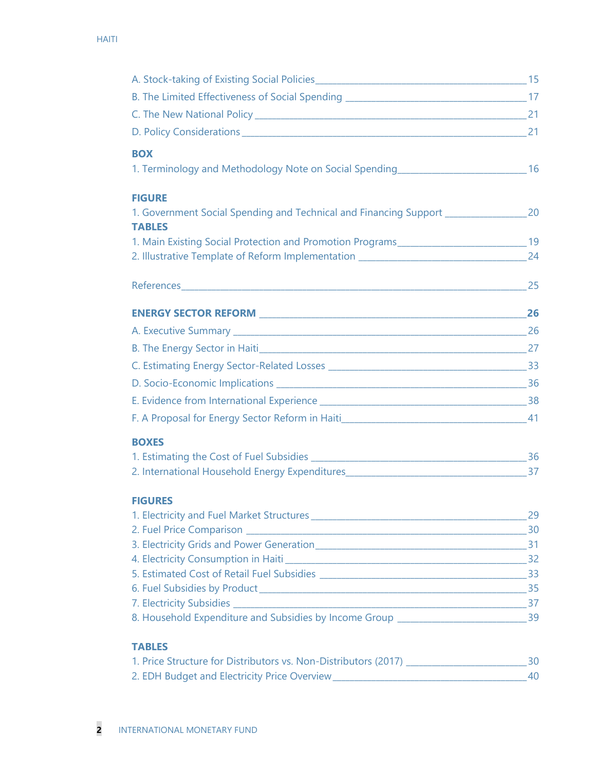| <b>BOX</b>                                                                                                |  |
|-----------------------------------------------------------------------------------------------------------|--|
| 1. Terminology and Methodology Note on Social Spending__________________________16                        |  |
| <b>FIGURE</b>                                                                                             |  |
| 1. Government Social Spending and Technical and Financing Support ____________________20<br><b>TABLES</b> |  |
| 1. Main Existing Social Protection and Promotion Programs________________________19                       |  |
| 24 Illustrative Template of Reform Implementation _______________________________                         |  |
|                                                                                                           |  |
|                                                                                                           |  |
|                                                                                                           |  |
|                                                                                                           |  |
|                                                                                                           |  |
|                                                                                                           |  |
|                                                                                                           |  |
|                                                                                                           |  |
|                                                                                                           |  |
| <b>BOXES</b>                                                                                              |  |
|                                                                                                           |  |
|                                                                                                           |  |
| <b>FIGURES</b>                                                                                            |  |
|                                                                                                           |  |
|                                                                                                           |  |
|                                                                                                           |  |
|                                                                                                           |  |
|                                                                                                           |  |
|                                                                                                           |  |
| 8. Household Expenditure and Subsidies by Income Group _________________________39                        |  |
|                                                                                                           |  |

#### **TABLES**

| 1. Price Structure for Distributors vs. Non-Distributors (2017) |  |
|-----------------------------------------------------------------|--|
| 2. EDH Budget and Electricity Price Overview_                   |  |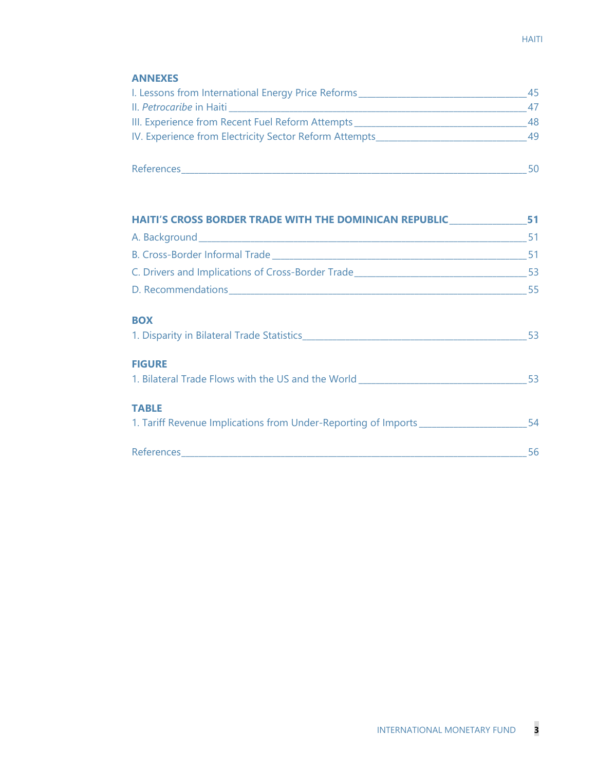#### **ANNEXES**

| I. Lessons from International Energy Price Reforms      | 45 |
|---------------------------------------------------------|----|
| II. Petrocaribe in Haiti                                |    |
| III. Experience from Recent Fuel Reform Attempts        | 48 |
| IV. Experience from Electricity Sector Reform Attempts_ | 49 |
|                                                         |    |
|                                                         |    |

| <b>References</b> |  |
|-------------------|--|
|                   |  |

| HAITI'S CROSS BORDER TRADE WITH THE DOMINICAN REPUBLIC 51                                                                      |     |
|--------------------------------------------------------------------------------------------------------------------------------|-----|
|                                                                                                                                |     |
|                                                                                                                                |     |
|                                                                                                                                |     |
|                                                                                                                                |     |
| <b>BOX</b>                                                                                                                     | -53 |
| <b>FIGURE</b><br>1. Bilateral Trade Flows with the US and the World Learness Communist Communist Communist Communist Communist | 53  |
| <b>TABLE</b><br>1. Tariff Revenue Implications from Under-Reporting of Imports ______________________54                        |     |
|                                                                                                                                | 56  |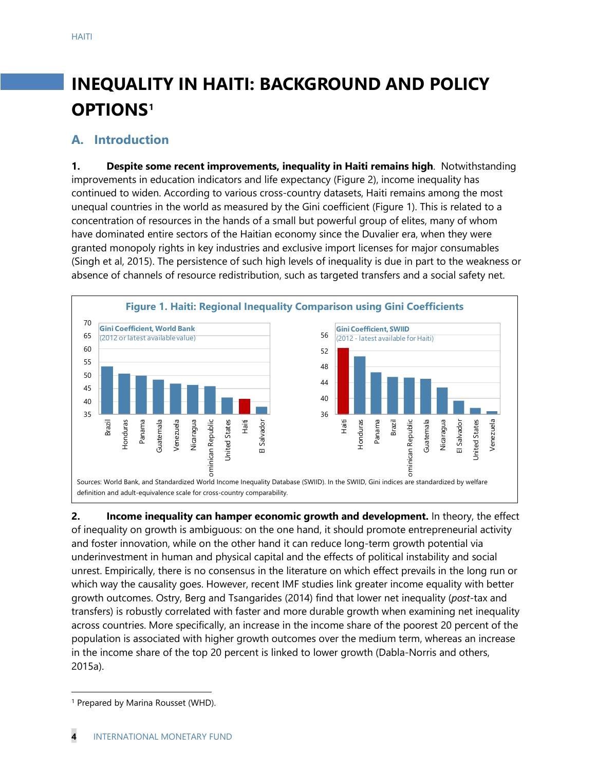# **INEQUALITY IN HAITI: BACKGROUND AND POLICY OPTIONS[1](#page-4-0)**

## **A. Introduction**

**1. Despite some recent improvements, inequality in Haiti remains high**. Notwithstanding improvements in education indicators and life expectancy (Figure 2), income inequality has continued to widen. According to various cross-country datasets, Haiti remains among the most unequal countries in the world as measured by the Gini coefficient (Figure 1). This is related to a concentration of resources in the hands of a small but powerful group of elites, many of whom have dominated entire sectors of the Haitian economy since the Duvalier era, when they were granted monopoly rights in key industries and exclusive import licenses for major consumables (Singh et al, 2015). The persistence of such high levels of inequality is due in part to the weakness or absence of channels of resource redistribution, such as targeted transfers and a social safety net.



**2. Income inequality can hamper economic growth and development.** In theory, the effect of inequality on growth is ambiguous: on the one hand, it should promote entrepreneurial activity and foster innovation, while on the other hand it can reduce long-term growth potential via underinvestment in human and physical capital and the effects of political instability and social unrest. Empirically, there is no consensus in the literature on which effect prevails in the long run or which way the causality goes. However, recent IMF studies link greater income equality with better growth outcomes. Ostry, Berg and Tsangarides (2014) find that lower net inequality (*post*-tax and transfers) is robustly correlated with faster and more durable growth when examining net inequality across countries. More specifically, an increase in the income share of the poorest 20 percent of the population is associated with higher growth outcomes over the medium term, whereas an increase in the income share of the top 20 percent is linked to lower growth (Dabla-Norris and others, 2015a).

<span id="page-4-0"></span><sup>&</sup>lt;sup>1</sup> Prepared by Marina Rousset (WHD).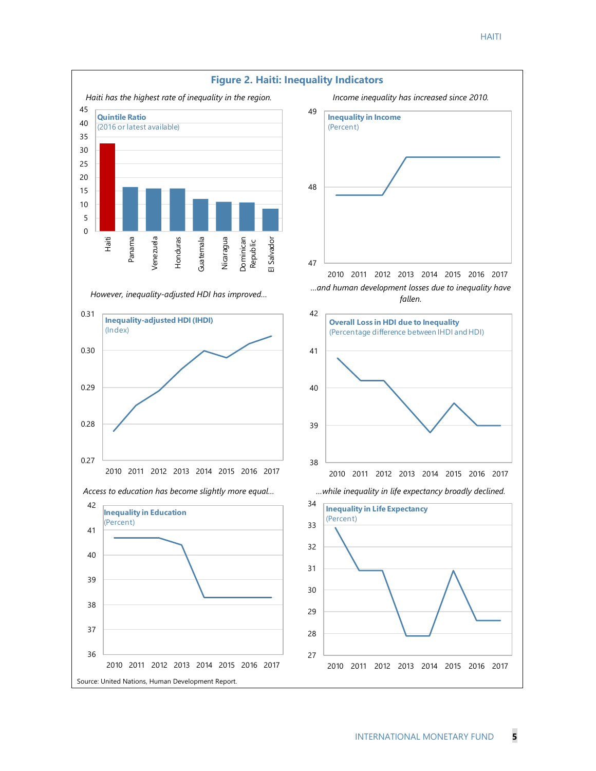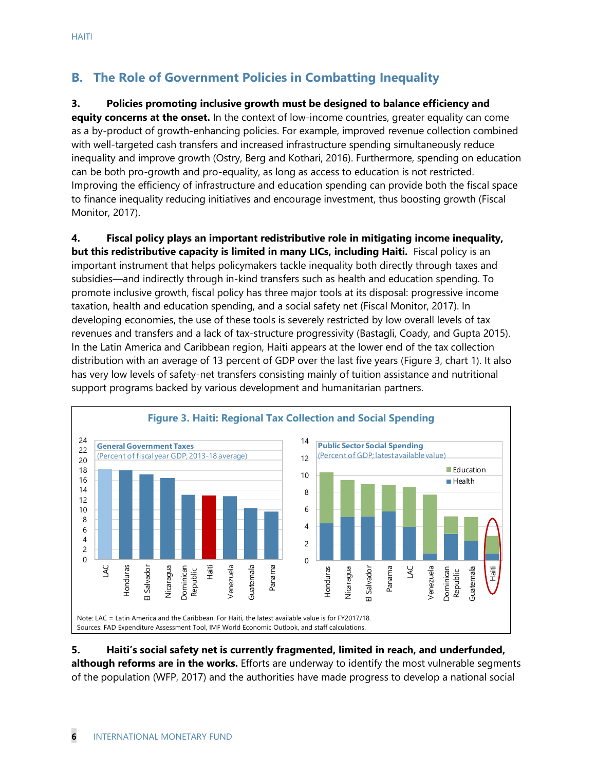# **B. The Role of Government Policies in Combatting Inequality**

#### **3. Policies promoting inclusive growth must be designed to balance efficiency and**

**equity concerns at the onset.** In the context of low-income countries, greater equality can come as a by-product of growth-enhancing policies. For example, improved revenue collection combined with well-targeted cash transfers and increased infrastructure spending simultaneously reduce inequality and improve growth (Ostry, Berg and Kothari, 2016). Furthermore, spending on education can be both pro-growth and pro-equality, as long as access to education is not restricted. Improving the efficiency of infrastructure and education spending can provide both the fiscal space to finance inequality reducing initiatives and encourage investment, thus boosting growth (Fiscal Monitor, 2017).

#### **4. Fiscal policy plays an important redistributive role in mitigating income inequality,**

**but this redistributive capacity is limited in many LICs, including Haiti.** Fiscal policy is an important instrument that helps policymakers tackle inequality both directly through taxes and subsidies—and indirectly through in-kind transfers such as health and education spending. To promote inclusive growth, fiscal policy has three major tools at its disposal: progressive income taxation, health and education spending, and a social safety net (Fiscal Monitor, 2017). In developing economies, the use of these tools is severely restricted by low overall levels of tax revenues and transfers and a lack of tax-structure progressivity (Bastagli, Coady, and Gupta 2015). In the Latin America and Caribbean region, Haiti appears at the lower end of the tax collection distribution with an average of 13 percent of GDP over the last five years (Figure 3, chart 1). It also has very low levels of safety-net transfers consisting mainly of tuition assistance and nutritional support programs backed by various development and humanitarian partners.



#### **5. Haiti's social safety net is currently fragmented, limited in reach, and underfunded, although reforms are in the works.** Efforts are underway to identify the most vulnerable segments of the population (WFP, 2017) and the authorities have made progress to develop a national social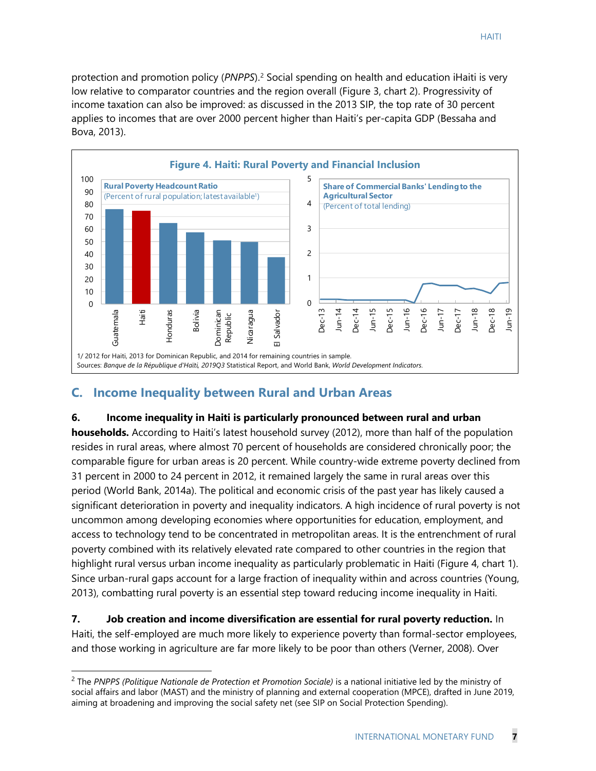protection and promotion policy (*PNPPS*).[2](#page-7-0) Social spending on health and education iHaiti is very low relative to comparator countries and the region overall (Figure 3, chart 2). Progressivity of income taxation can also be improved: as discussed in the 2013 SIP, the top rate of 30 percent applies to incomes that are over 2000 percent higher than Haiti's per-capita GDP (Bessaha and Bova, 2013).



## **C. Income Inequality between Rural and Urban Areas**

#### **6. Income inequality in Haiti is particularly pronounced between rural and urban**

**households.** According to Haiti's latest household survey (2012), more than half of the population resides in rural areas, where almost 70 percent of households are considered chronically poor; the comparable figure for urban areas is 20 percent. While country-wide extreme poverty declined from 31 percent in 2000 to 24 percent in 2012, it remained largely the same in rural areas over this period (World Bank, 2014a). The political and economic crisis of the past year has likely caused a significant deterioration in poverty and inequality indicators. A high incidence of rural poverty is not uncommon among developing economies where opportunities for education, employment, and access to technology tend to be concentrated in metropolitan areas. It is the entrenchment of rural poverty combined with its relatively elevated rate compared to other countries in the region that highlight rural versus urban income inequality as particularly problematic in Haiti (Figure 4, chart 1). Since urban-rural gaps account for a large fraction of inequality within and across countries (Young, 2013), combatting rural poverty is an essential step toward reducing income inequality in Haiti.

**7. Job creation and income diversification are essential for rural poverty reduction.** In Haiti, the self-employed are much more likely to experience poverty than formal-sector employees, and those working in agriculture are far more likely to be poor than others (Verner, 2008). Over

<span id="page-7-0"></span><sup>2</sup> The *PNPPS (Politique Nationale de Protection et Promotion Sociale)* is a national initiative led by the ministry of social affairs and labor (MAST) and the ministry of planning and external cooperation (MPCE), drafted in June 2019, aiming at broadening and improving the social safety net (see SIP on Social Protection Spending).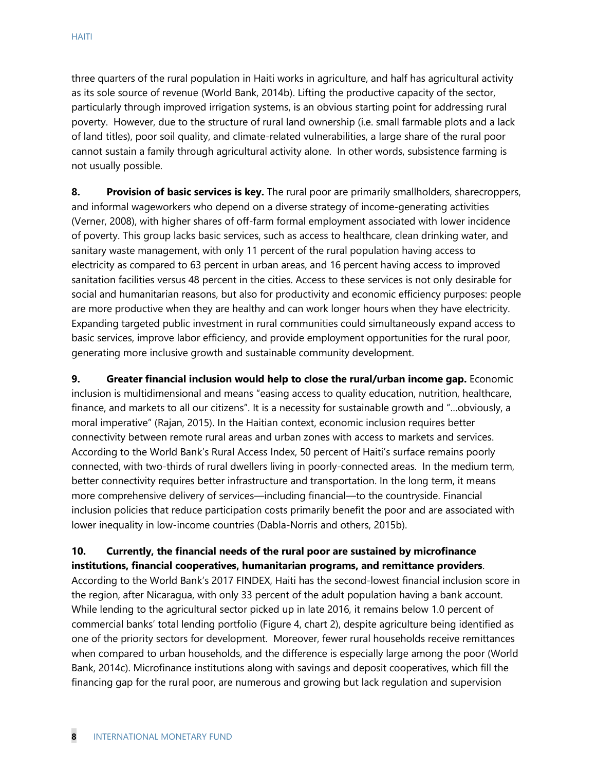three quarters of the rural population in Haiti works in agriculture, and half has agricultural activity as its sole source of revenue (World Bank, 2014b). Lifting the productive capacity of the sector, particularly through improved irrigation systems, is an obvious starting point for addressing rural poverty. However, due to the structure of rural land ownership (i.e. small farmable plots and a lack of land titles), poor soil quality, and climate-related vulnerabilities, a large share of the rural poor cannot sustain a family through agricultural activity alone. In other words, subsistence farming is not usually possible.

**8. Provision of basic services is key.** The rural poor are primarily smallholders, sharecroppers, and informal wageworkers who depend on a diverse strategy of income-generating activities (Verner, 2008), with higher shares of off-farm formal employment associated with lower incidence of poverty. This group lacks basic services, such as access to healthcare, clean drinking water, and sanitary waste management, with only 11 percent of the rural population having access to electricity as compared to 63 percent in urban areas, and 16 percent having access to improved sanitation facilities versus 48 percent in the cities. Access to these services is not only desirable for social and humanitarian reasons, but also for productivity and economic efficiency purposes: people are more productive when they are healthy and can work longer hours when they have electricity. Expanding targeted public investment in rural communities could simultaneously expand access to basic services, improve labor efficiency, and provide employment opportunities for the rural poor, generating more inclusive growth and sustainable community development.

**9. Greater financial inclusion would help to close the rural/urban income gap.** Economic inclusion is multidimensional and means "easing access to quality education, nutrition, healthcare, finance, and markets to all our citizens". It is a necessity for sustainable growth and "…obviously, a moral imperative" (Rajan, 2015). In the Haitian context, economic inclusion requires better connectivity between remote rural areas and urban zones with access to markets and services. According to the World Bank's Rural Access Index, 50 percent of Haiti's surface remains poorly connected, with two-thirds of rural dwellers living in poorly-connected areas. In the medium term, better connectivity requires better infrastructure and transportation. In the long term, it means more comprehensive delivery of services—including financial—to the countryside. Financial inclusion policies that reduce participation costs primarily benefit the poor and are associated with lower inequality in low-income countries (Dabla-Norris and others, 2015b).

#### **10. Currently, the financial needs of the rural poor are sustained by microfinance institutions, financial cooperatives, humanitarian programs, and remittance providers**.

According to the World Bank's 2017 FINDEX, Haiti has the second-lowest financial inclusion score in the region, after Nicaragua, with only 33 percent of the adult population having a bank account. While lending to the agricultural sector picked up in late 2016, it remains below 1.0 percent of commercial banks' total lending portfolio (Figure 4, chart 2), despite agriculture being identified as one of the priority sectors for development. Moreover, fewer rural households receive remittances when compared to urban households, and the difference is especially large among the poor (World Bank, 2014c). Microfinance institutions along with savings and deposit cooperatives, which fill the financing gap for the rural poor, are numerous and growing but lack regulation and supervision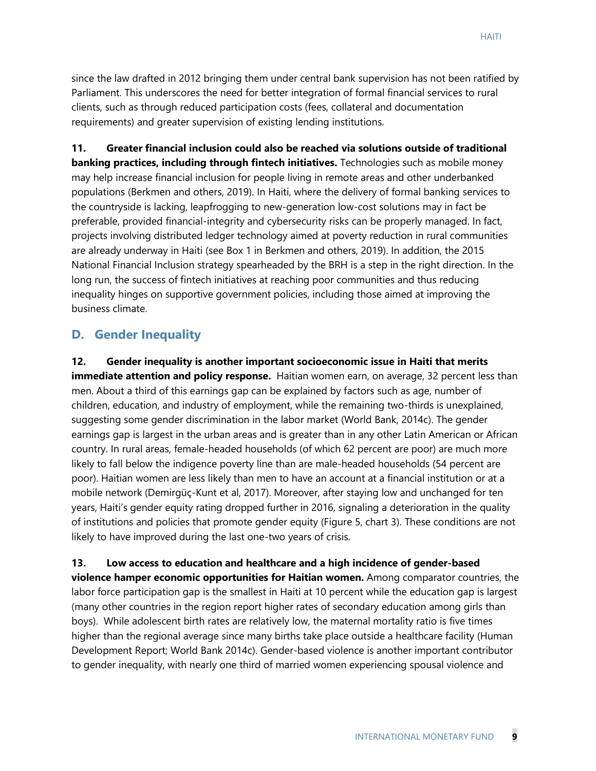since the law drafted in 2012 bringing them under central bank supervision has not been ratified by Parliament. This underscores the need for better integration of formal financial services to rural clients, such as through reduced participation costs (fees, collateral and documentation requirements) and greater supervision of existing lending institutions.

**11. Greater financial inclusion could also be reached via solutions outside of traditional banking practices, including through fintech initiatives.** Technologies such as mobile money may help increase financial inclusion for people living in remote areas and other underbanked populations (Berkmen and others, 2019). In Haiti, where the delivery of formal banking services to the countryside is lacking, leapfrogging to new-generation low-cost solutions may in fact be preferable, provided financial-integrity and cybersecurity risks can be properly managed. In fact, projects involving distributed ledger technology aimed at poverty reduction in rural communities are already underway in Haiti (see Box 1 in Berkmen and others, 2019). In addition, the 2015 National Financial Inclusion strategy spearheaded by the BRH is a step in the right direction. In the long run, the success of fintech initiatives at reaching poor communities and thus reducing inequality hinges on supportive government policies, including those aimed at improving the business climate.

#### **D. Gender Inequality**

**12. Gender inequality is another important socioeconomic issue in Haiti that merits immediate attention and policy response.** Haitian women earn, on average, 32 percent less than men. About a third of this earnings gap can be explained by factors such as age, number of children, education, and industry of employment, while the remaining two-thirds is unexplained, suggesting some gender discrimination in the labor market (World Bank, 2014c). The gender earnings gap is largest in the urban areas and is greater than in any other Latin American or African country. In rural areas, female-headed households (of which 62 percent are poor) are much more likely to fall below the indigence poverty line than are male-headed households (54 percent are poor). Haitian women are less likely than men to have an account at a financial institution or at a mobile network (Demirgüç-Kunt et al, 2017). Moreover, after staying low and unchanged for ten years, Haiti's gender equity rating dropped further in 2016, signaling a deterioration in the quality of institutions and policies that promote gender equity (Figure 5, chart 3). These conditions are not likely to have improved during the last one-two years of crisis.

**13. Low access to education and healthcare and a high incidence of gender-based violence hamper economic opportunities for Haitian women.** Among comparator countries, the labor force participation gap is the smallest in Haiti at 10 percent while the education gap is largest (many other countries in the region report higher rates of secondary education among girls than boys). While adolescent birth rates are relatively low, the maternal mortality ratio is five times higher than the regional average since many births take place outside a healthcare facility (Human Development Report; World Bank 2014c). Gender-based violence is another important contributor to gender inequality, with nearly one third of married women experiencing spousal violence and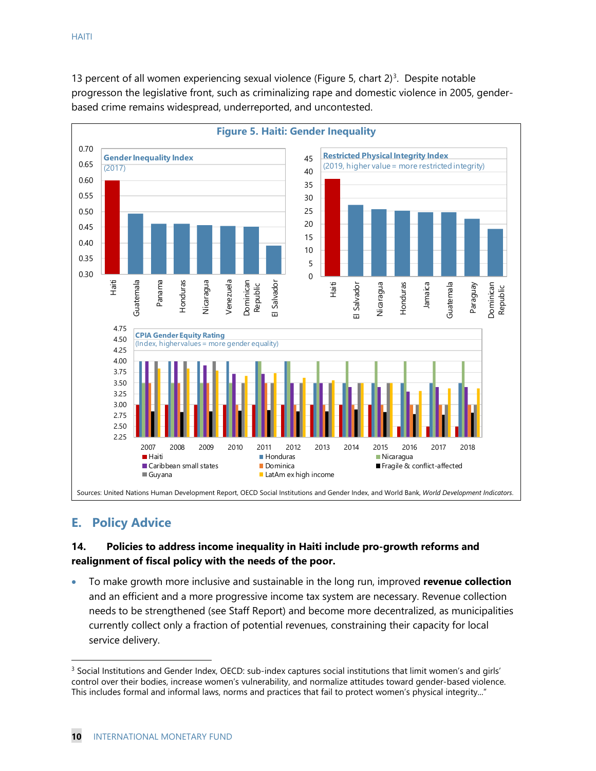13 percent of all women experiencing sexual violence (Figure 5, chart  $2^3$ . Despite notable progresson the legislative front, such as criminalizing rape and domestic violence in 2005, genderbased crime remains widespread, underreported, and uncontested.



# **E. Policy Advice**

#### **14. Policies to address income inequality in Haiti include pro-growth reforms and realignment of fiscal policy with the needs of the poor.**

• To make growth more inclusive and sustainable in the long run, improved **revenue collection** and an efficient and a more progressive income tax system are necessary. Revenue collection needs to be strengthened (see Staff Report) and become more decentralized, as municipalities currently collect only a fraction of potential revenues, constraining their capacity for local service delivery.

<span id="page-10-0"></span><sup>3</sup> Social Institutions and Gender Index, OECD: sub-index captures social institutions that limit women's and girls' control over their bodies, increase women's vulnerability, and normalize attitudes toward gender-based violence. This includes formal and informal laws, norms and practices that fail to protect women's physical integrity..."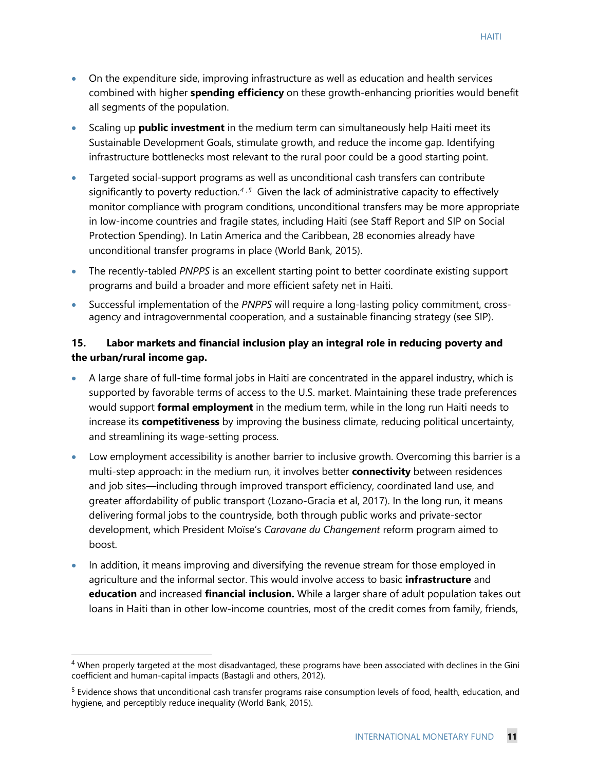- On the expenditure side, improving infrastructure as well as education and health services combined with higher **spending efficiency** on these growth-enhancing priorities would benefit all segments of the population.
- Scaling up **public investment** in the medium term can simultaneously help Haiti meet its Sustainable Development Goals, stimulate growth, and reduce the income gap. Identifying infrastructure bottlenecks most relevant to the rural poor could be a good starting point.
- Targeted social-support programs as well as unconditional cash transfers can contribute significantly to poverty reduction.*[4](#page-11-0) ,[5](#page-11-1)* Given the lack of administrative capacity to effectively monitor compliance with program conditions, unconditional transfers may be more appropriate in low-income countries and fragile states, including Haiti (see Staff Report and SIP on Social Protection Spending). In Latin America and the Caribbean, 28 economies already have unconditional transfer programs in place (World Bank, 2015).
- The recently-tabled *PNPPS* is an excellent starting point to better coordinate existing support programs and build a broader and more efficient safety net in Haiti.
- Successful implementation of the *PNPPS* will require a long-lasting policy commitment, crossagency and intragovernmental cooperation, and a sustainable financing strategy (see SIP).

#### **15. Labor markets and financial inclusion play an integral role in reducing poverty and the urban/rural income gap.**

- A large share of full-time formal jobs in Haiti are concentrated in the apparel industry, which is supported by favorable terms of access to the U.S. market. Maintaining these trade preferences would support **formal employment** in the medium term, while in the long run Haiti needs to increase its **competitiveness** by improving the business climate, reducing political uncertainty, and streamlining its wage-setting process.
- Low employment accessibility is another barrier to inclusive growth. Overcoming this barrier is a multi-step approach: in the medium run, it involves better **connectivity** between residences and job sites—including through improved transport efficiency, coordinated land use, and greater affordability of public transport (Lozano-Gracia et al, 2017). In the long run, it means delivering formal jobs to the countryside, both through public works and private-sector development, which President Moïse's *Caravane du Changement* reform program aimed to boost.
- In addition, it means improving and diversifying the revenue stream for those employed in agriculture and the informal sector. This would involve access to basic **infrastructure** and **education** and increased **financial inclusion.** While a larger share of adult population takes out loans in Haiti than in other low-income countries, most of the credit comes from family, friends,

<span id="page-11-0"></span><sup>&</sup>lt;sup>4</sup> When properly targeted at the most disadvantaged, these programs have been associated with declines in the Gini coefficient and human-capital impacts (Bastagli and others, 2012).

<span id="page-11-1"></span><sup>&</sup>lt;sup>5</sup> Evidence shows that unconditional cash transfer programs raise consumption levels of food, health, education, and hygiene, and perceptibly reduce inequality (World Bank, 2015).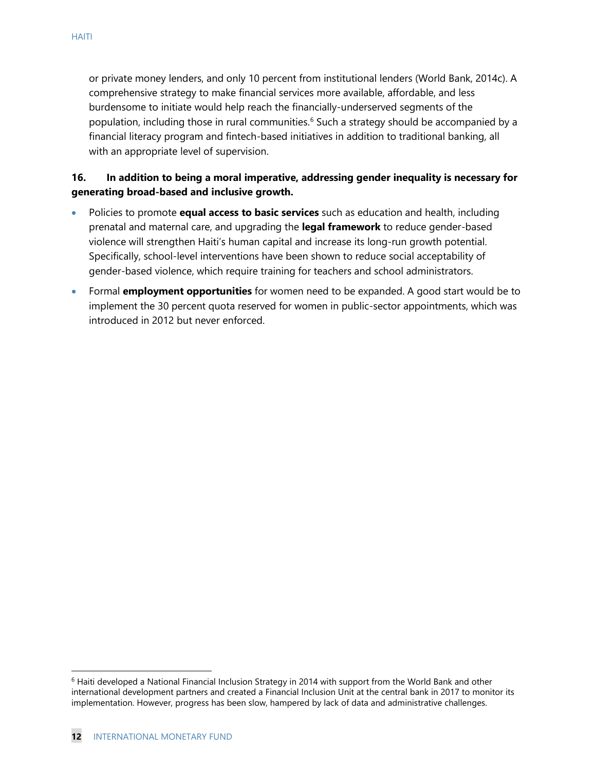or private money lenders, and only 10 percent from institutional lenders (World Bank, 2014c). A comprehensive strategy to make financial services more available, affordable, and less burdensome to initiate would help reach the financially-underserved segments of the population, including those in rural communities.<sup>[6](#page-12-0)</sup> Such a strategy should be accompanied by a financial literacy program and fintech-based initiatives in addition to traditional banking, all with an appropriate level of supervision.

#### **16. In addition to being a moral imperative, addressing gender inequality is necessary for generating broad-based and inclusive growth.**

- Policies to promote **equal access to basic services** such as education and health, including prenatal and maternal care, and upgrading the **legal framework** to reduce gender-based violence will strengthen Haiti's human capital and increase its long-run growth potential. Specifically, school-level interventions have been shown to reduce social acceptability of gender-based violence, which require training for teachers and school administrators.
- Formal **employment opportunities** for women need to be expanded. A good start would be to implement the 30 percent quota reserved for women in public-sector appointments, which was introduced in 2012 but never enforced.

<span id="page-12-0"></span><sup>&</sup>lt;sup>6</sup> Haiti developed a National Financial Inclusion Strategy in 2014 with support from the World Bank and other international development partners and created a Financial Inclusion Unit at the central bank in 2017 to monitor its implementation. However, progress has been slow, hampered by lack of data and administrative challenges.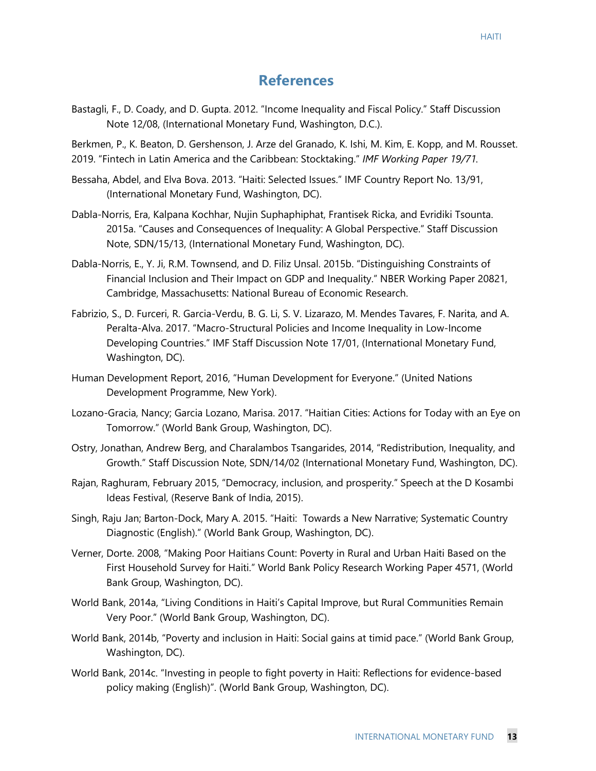# **References**

Bastagli, F., D. Coady, and D. Gupta. 2012. "Income Inequality and Fiscal Policy." Staff Discussion Note 12/08, (International Monetary Fund, Washington, D.C.).

Berkmen, P., K. Beaton, D. Gershenson, J. Arze del Granado, K. Ishi, M. Kim, E. Kopp, and M. Rousset. 2019. "Fintech in Latin America and the Caribbean: Stocktaking." *IMF Working Paper 19/71.*

- Bessaha, Abdel, and Elva Bova. 2013. "Haiti: Selected Issues." IMF Country Report No. 13/91, (International Monetary Fund, Washington, DC).
- Dabla-Norris, Era, Kalpana Kochhar, Nujin Suphaphiphat, Frantisek Ricka, and Evridiki Tsounta. 2015a. "Causes and Consequences of Inequality: A Global Perspective." Staff Discussion Note, SDN/15/13, (International Monetary Fund, Washington, DC).
- Dabla-Norris, E., Y. Ji, R.M. Townsend, and D. Filiz Unsal. 2015b. "Distinguishing Constraints of Financial Inclusion and Their Impact on GDP and Inequality." NBER Working Paper 20821, Cambridge, Massachusetts: National Bureau of Economic Research.
- Fabrizio, S., D. Furceri, R. Garcia-Verdu, B. G. Li, S. V. Lizarazo, M. Mendes Tavares, F. Narita, and A. Peralta-Alva. 2017. "Macro-Structural Policies and Income Inequality in Low-Income Developing Countries." IMF Staff Discussion Note 17/01, (International Monetary Fund, Washington, DC).
- Human Development Report, 2016, "Human Development for Everyone." (United Nations Development Programme, New York).
- Lozano-Gracia, Nancy; Garcia Lozano, Marisa. 2017. "Haitian Cities: Actions for Today with an Eye on Tomorrow." (World Bank Group, Washington, DC).
- Ostry, Jonathan, Andrew Berg, and Charalambos Tsangarides, 2014, "Redistribution, Inequality, and Growth." Staff Discussion Note, SDN/14/02 (International Monetary Fund, Washington, DC).
- [Rajan,](https://www.bis.org/author/raghuram_rajan.htm) Raghuram, February 2015, "Democracy, inclusion, and prosperity." Speech at the D Kosambi Ideas Festival, (Reserve Bank of India, 2015).
- Singh, Raju Jan; Barton-Dock, Mary A. 2015. "Haiti: Towards a New Narrative; Systematic Country Diagnostic (English)." (World Bank Group, Washington, DC).
- Verner, Dorte. 2008, "Making Poor Haitians Count: Poverty in Rural and Urban Haiti Based on the First Household Survey for Haiti." World Bank Policy Research Working Paper 4571, (World Bank Group, Washington, DC).
- World Bank, 2014a, "Living Conditions in Haiti's Capital Improve, but Rural Communities Remain Very Poor." (World Bank Group, Washington, DC).
- World Bank, 2014b, "Poverty and inclusion in Haiti: Social gains at timid pace." (World Bank Group, Washington, DC).
- World Bank, 2014c. "Investing in people to fight poverty in Haiti: Reflections for evidence-based policy making (English)". (World Bank Group, Washington, DC).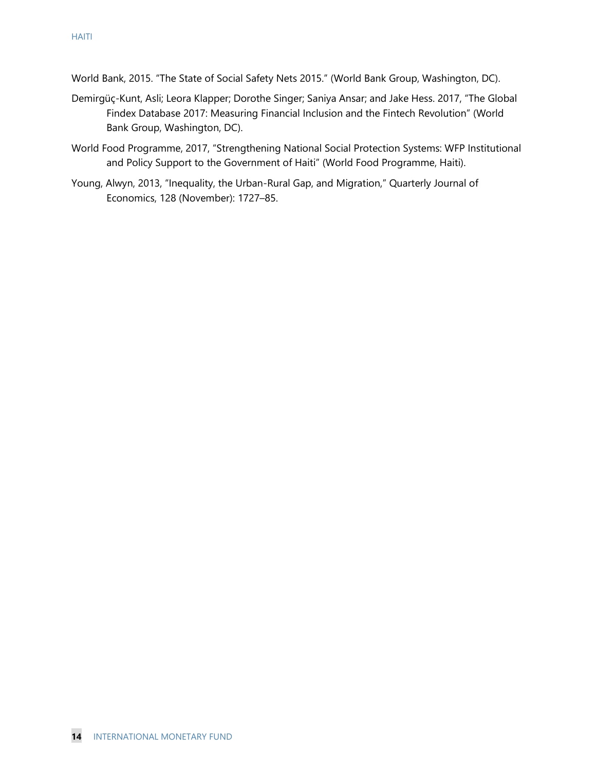- World Bank, 2015. "The State of Social Safety Nets 2015." (World Bank Group, Washington, DC).
- Demirgüç-Kunt, Asli; Leora Klapper; Dorothe Singer; Saniya Ansar; and Jake Hess. 2017, "The Global Findex Database 2017: Measuring Financial Inclusion and the Fintech Revolution" (World Bank Group, Washington, DC).
- World Food Programme, 2017, "Strengthening National Social Protection Systems: WFP Institutional and Policy Support to the Government of Haiti" (World Food Programme, Haiti).
- Young, Alwyn, 2013, "Inequality, the Urban-Rural Gap, and Migration," Quarterly Journal of Economics, 128 (November): 1727–85.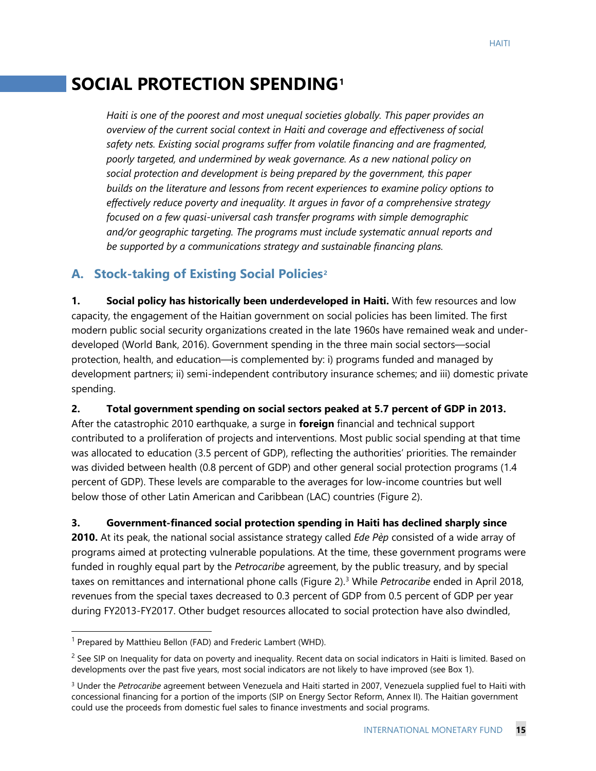# **SOCIAL PROTECTION SPENDING[1](#page-15-0)**

*Haiti is one of the poorest and most unequal societies globally. This paper provides an overview of the current social context in Haiti and coverage and effectiveness of social safety nets. Existing social programs suffer from volatile financing and are fragmented, poorly targeted, and undermined by weak governance. As a new national policy on social protection and development is being prepared by the government, this paper builds on the literature and lessons from recent experiences to examine policy options to effectively reduce poverty and inequality. It argues in favor of a comprehensive strategy focused on a few quasi-universal cash transfer programs with simple demographic and/or geographic targeting. The programs must include systematic annual reports and be supported by a communications strategy and sustainable financing plans.* 

# **A. Stock-taking of Existing Social Policies[2](#page-15-1)**

**1. Social policy has historically been underdeveloped in Haiti.** With few resources and low capacity, the engagement of the Haitian government on social policies has been limited. The first modern public social security organizations created in the late 1960s have remained weak and underdeveloped (World Bank, 2016). Government spending in the three main social sectors—social protection, health, and education—is complemented by: i) programs funded and managed by development partners; ii) semi-independent contributory insurance schemes; and iii) domestic private spending.

**2. Total government spending on social sectors peaked at 5.7 percent of GDP in 2013.** 

After the catastrophic 2010 earthquake, a surge in **foreign** financial and technical support contributed to a proliferation of projects and interventions. Most public social spending at that time was allocated to education (3.5 percent of GDP), reflecting the authorities' priorities. The remainder was divided between health (0.8 percent of GDP) and other general social protection programs (1.4 percent of GDP). These levels are comparable to the averages for low-income countries but well below those of other Latin American and Caribbean (LAC) countries (Figure 2).

**3. Government-financed social protection spending in Haiti has declined sharply since** 

**2010.** At its peak, the national social assistance strategy called *Ede Pèp* consisted of a wide array of programs aimed at protecting vulnerable populations. At the time, these government programs were funded in roughly equal part by the *Petrocaribe* agreement, by the public treasury, and by special taxes on remittances and international phone calls (Figure 2).[3](#page-15-2) While *Petrocaribe* ended in April 2018, revenues from the special taxes decreased to 0.3 percent of GDP from 0.5 percent of GDP per year during FY2013-FY2017. Other budget resources allocated to social protection have also dwindled,

<span id="page-15-0"></span><sup>&</sup>lt;sup>1</sup> Prepared by Matthieu Bellon (FAD) and Frederic Lambert (WHD).

<span id="page-15-1"></span> $<sup>2</sup>$  See SIP on Inequality for data on poverty and inequality. Recent data on social indicators in Haiti is limited. Based on</sup> developments over the past five years, most social indicators are not likely to have improved (see Box 1).

<span id="page-15-2"></span><sup>3</sup> Under the *Petrocaribe* agreement between Venezuela and Haiti started in 2007, Venezuela supplied fuel to Haiti with concessional financing for a portion of the imports (SIP on Energy Sector Reform, Annex II). The Haitian government could use the proceeds from domestic fuel sales to finance investments and social programs.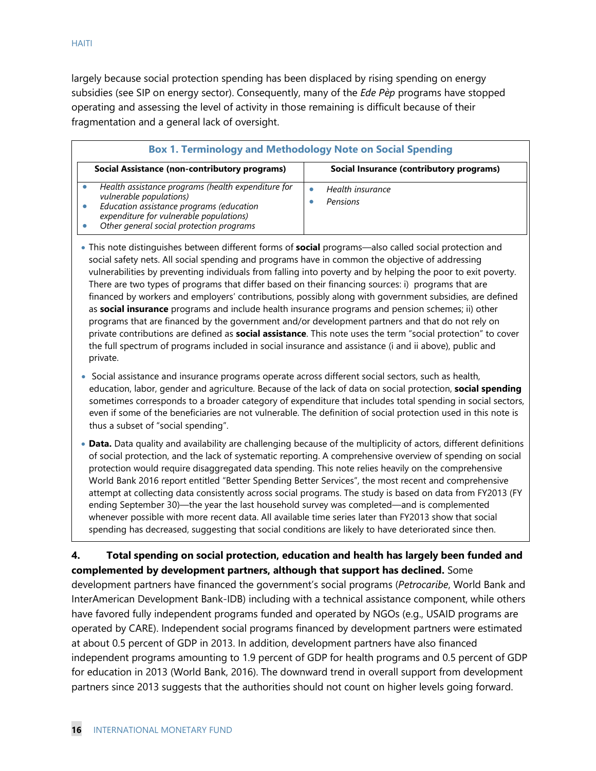largely because social protection spending has been displaced by rising spending on energy subsidies (see SIP on energy sector). Consequently, many of the *Ede Pèp* programs have stopped operating and assessing the level of activity in those remaining is difficult because of their fragmentation and a general lack of oversight.

| <b>Box 1. Terminology and Methodology Note on Social Spending</b>                                                                                                                                                |                                          |  |  |  |  |  |
|------------------------------------------------------------------------------------------------------------------------------------------------------------------------------------------------------------------|------------------------------------------|--|--|--|--|--|
| Social Assistance (non-contributory programs)                                                                                                                                                                    | Social Insurance (contributory programs) |  |  |  |  |  |
| Health assistance programs (health expenditure for<br>vulnerable populations)<br>Education assistance programs (education<br>expenditure for vulnerable populations)<br>Other general social protection programs | Health insurance<br>Pensions             |  |  |  |  |  |

- This note distinguishes between different forms of **social** programs―also called social protection and social safety nets. All social spending and programs have in common the objective of addressing vulnerabilities by preventing individuals from falling into poverty and by helping the poor to exit poverty. There are two types of programs that differ based on their financing sources: i) programs that are financed by workers and employers' contributions, possibly along with government subsidies, are defined as **social insurance** programs and include health insurance programs and pension schemes; ii) other programs that are financed by the government and/or development partners and that do not rely on private contributions are defined as **social assistance**. This note uses the term "social protection" to cover the full spectrum of programs included in social insurance and assistance (i and ii above), public and private.
- Social assistance and insurance programs operate across different social sectors, such as health, education, labor, gender and agriculture. Because of the lack of data on social protection, **social spending** sometimes corresponds to a broader category of expenditure that includes total spending in social sectors, even if some of the beneficiaries are not vulnerable. The definition of social protection used in this note is thus a subset of "social spending".
- **Data.** Data quality and availability are challenging because of the multiplicity of actors, different definitions of social protection, and the lack of systematic reporting. A comprehensive overview of spending on social protection would require disaggregated data spending. This note relies heavily on the comprehensive World Bank 2016 report entitled "Better Spending Better Services", the most recent and comprehensive attempt at collecting data consistently across social programs. The study is based on data from FY2013 (FY ending September 30)—the year the last household survey was completed―and is complemented whenever possible with more recent data. All available time series later than FY2013 show that social spending has decreased, suggesting that social conditions are likely to have deteriorated since then.

#### **4. Total spending on social protection, education and health has largely been funded and complemented by development partners, although that support has declined.** Some

development partners have financed the government's social programs (*Petrocaribe*, World Bank and InterAmerican Development Bank-IDB) including with a technical assistance component, while others have favored fully independent programs funded and operated by NGOs (e.g., USAID programs are operated by CARE). Independent social programs financed by development partners were estimated at about 0.5 percent of GDP in 2013. In addition, development partners have also financed independent programs amounting to 1.9 percent of GDP for health programs and 0.5 percent of GDP for education in 2013 (World Bank, 2016). The downward trend in overall support from development partners since 2013 suggests that the authorities should not count on higher levels going forward.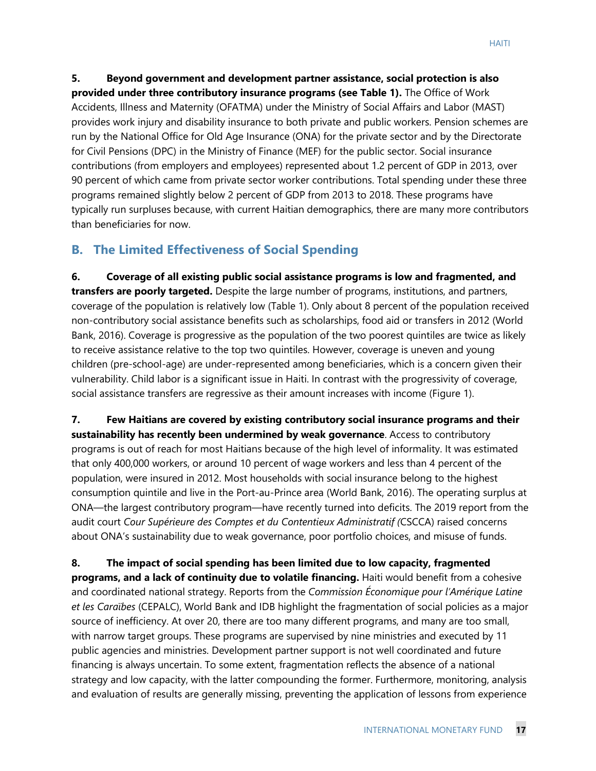**5. Beyond government and development partner assistance, social protection is also provided under three contributory insurance programs (see Table 1).** The Office of Work Accidents, Illness and Maternity (OFATMA) under the Ministry of Social Affairs and Labor (MAST) provides work injury and disability insurance to both private and public workers. Pension schemes are run by the National Office for Old Age Insurance (ONA) for the private sector and by the Directorate for Civil Pensions (DPC) in the Ministry of Finance (MEF) for the public sector. Social insurance contributions (from employers and employees) represented about 1.2 percent of GDP in 2013, over 90 percent of which came from private sector worker contributions. Total spending under these three programs remained slightly below 2 percent of GDP from 2013 to 2018. These programs have typically run surpluses because, with current Haitian demographics, there are many more contributors than beneficiaries for now.

# **B. The Limited Effectiveness of Social Spending**

**6. Coverage of all existing public social assistance programs is low and fragmented, and transfers are poorly targeted.** Despite the large number of programs, institutions, and partners, coverage of the population is relatively low (Table 1). Only about 8 percent of the population received non-contributory social assistance benefits such as scholarships, food aid or transfers in 2012 (World Bank, 2016). Coverage is progressive as the population of the two poorest quintiles are twice as likely to receive assistance relative to the top two quintiles. However, coverage is uneven and young children (pre-school-age) are under-represented among beneficiaries, which is a concern given their vulnerability. Child labor is a significant issue in Haiti. In contrast with the progressivity of coverage, social assistance transfers are regressive as their amount increases with income (Figure 1).

**7. Few Haitians are covered by existing contributory social insurance programs and their sustainability has recently been undermined by weak governance**. Access to contributory programs is out of reach for most Haitians because of the high level of informality. It was estimated that only 400,000 workers, or around 10 percent of wage workers and less than 4 percent of the population, were insured in 2012. Most households with social insurance belong to the highest consumption quintile and live in the Port-au-Prince area (World Bank, 2016). The operating surplus at ONA―the largest contributory program―have recently turned into deficits. The 2019 report from the audit court *Cour Supérieure des Comptes et du Contentieux Administratif (*CSCCA) raised concerns about ONA's sustainability due to weak governance, poor portfolio choices, and misuse of funds.

**8. The impact of social spending has been limited due to low capacity, fragmented programs, and a lack of continuity due to volatile financing.** Haiti would benefit from a cohesive and coordinated national strategy. Reports from the *Commission Économique pour l'Amérique Latine et les Caraïbes* (CEPALC), World Bank and IDB highlight the fragmentation of social policies as a major source of inefficiency. At over 20, there are too many different programs, and many are too small, with narrow target groups. These programs are supervised by nine ministries and executed by 11 public agencies and ministries. Development partner support is not well coordinated and future financing is always uncertain. To some extent, fragmentation reflects the absence of a national strategy and low capacity, with the latter compounding the former. Furthermore, monitoring, analysis and evaluation of results are generally missing, preventing the application of lessons from experience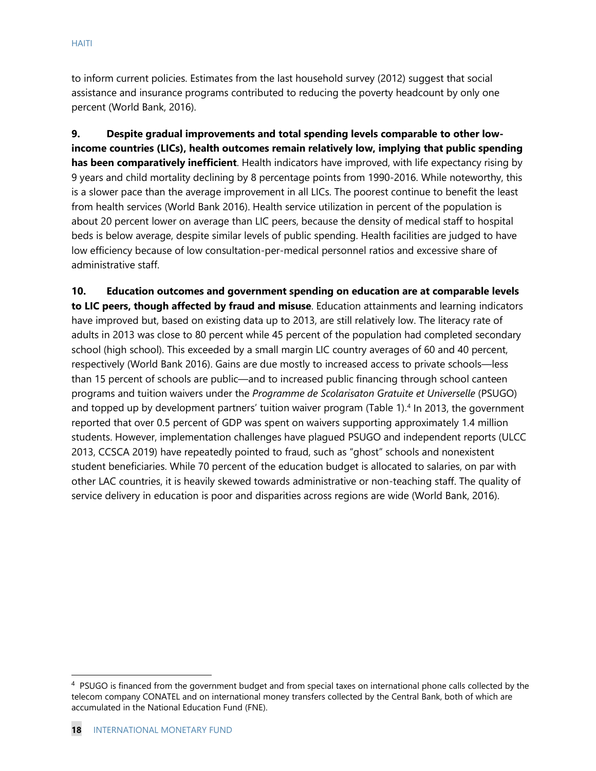to inform current policies. Estimates from the last household survey (2012) suggest that social assistance and insurance programs contributed to reducing the poverty headcount by only one percent (World Bank, 2016).

**9. Despite gradual improvements and total spending levels comparable to other lowincome countries (LICs), health outcomes remain relatively low, implying that public spending has been comparatively inefficient**. Health indicators have improved, with life expectancy rising by 9 years and child mortality declining by 8 percentage points from 1990-2016. While noteworthy, this is a slower pace than the average improvement in all LICs. The poorest continue to benefit the least from health services (World Bank 2016). Health service utilization in percent of the population is about 20 percent lower on average than LIC peers, because the density of medical staff to hospital beds is below average, despite similar levels of public spending. Health facilities are judged to have low efficiency because of low consultation-per-medical personnel ratios and excessive share of administrative staff.

**10. Education outcomes and government spending on education are at comparable levels to LIC peers, though affected by fraud and misuse**. Education attainments and learning indicators have improved but, based on existing data up to 2013, are still relatively low. The literacy rate of adults in 2013 was close to 80 percent while 45 percent of the population had completed secondary school (high school). This exceeded by a small margin LIC country averages of 60 and 40 percent, respectively (World Bank 2016). Gains are due mostly to increased access to private schools—less than 15 percent of schools are public—and to increased public financing through school canteen programs and tuition waivers under the *Programme de Scolarisaton Gratuite et Universelle* (PSUGO) and topped up by development partners' tuition waiver program (Table 1).<sup>4</sup> In 2013, the government reported that over 0.5 percent of GDP was spent on waivers supporting approximately 1.4 million students. However, implementation challenges have plagued PSUGO and independent reports (ULCC 2013, CCSCA 2019) have repeatedly pointed to fraud, such as "ghost" schools and nonexistent student beneficiaries. While 70 percent of the education budget is allocated to salaries, on par with other LAC countries, it is heavily skewed towards administrative or non-teaching staff. The quality of service delivery in education is poor and disparities across regions are wide (World Bank, 2016).

<span id="page-18-0"></span><sup>&</sup>lt;sup>4</sup> PSUGO is financed from the government budget and from special taxes on international phone calls collected by the telecom company CONATEL and on international money transfers collected by the Central Bank, both of which are accumulated in the National Education Fund (FNE).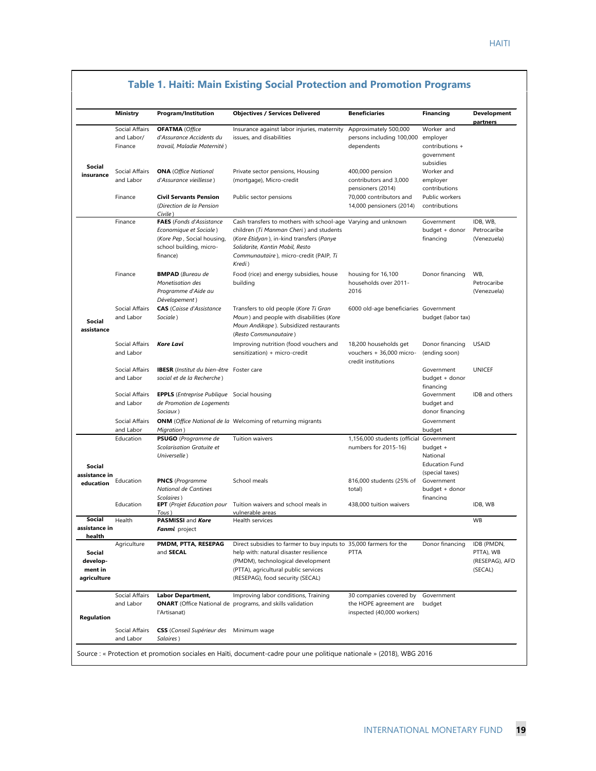|                                              | <b>Ministry</b>                         | <b>Program/Institution</b>                                                                                                     | <b>Objectives / Services Delivered</b>                                                                                                                                                                                                      | <b>Beneficiaries</b>                                                            | <b>Financing</b>                                                         | <b>Development</b>                                   |
|----------------------------------------------|-----------------------------------------|--------------------------------------------------------------------------------------------------------------------------------|---------------------------------------------------------------------------------------------------------------------------------------------------------------------------------------------------------------------------------------------|---------------------------------------------------------------------------------|--------------------------------------------------------------------------|------------------------------------------------------|
|                                              | Social Affairs<br>and Labor/<br>Finance | <b>OFATMA</b> (Office<br>d'Assurance Accidents du<br>travail, Maladie Maternité)                                               | Insurance against labor injuries, maternity<br>issues, and disabilities                                                                                                                                                                     | Approximately 500,000<br>persons including 100,000 employer<br>dependents       | Worker and<br>contributions +                                            | partners                                             |
| Social<br>insurance                          | Social Affairs<br>and Labor             | <b>ONA</b> (Office National<br>d'Assurance vieillesse)                                                                         | Private sector pensions, Housing<br>(mortgage), Micro-credit                                                                                                                                                                                | 400,000 pension<br>contributors and 3,000<br>pensioners (2014)                  | government<br>subsidies<br>Worker and<br>employer<br>contributions       |                                                      |
|                                              | Finance                                 | <b>Civil Servants Pension</b><br>(Direction de la Pension<br>Civile)                                                           | Public sector pensions                                                                                                                                                                                                                      | 70,000 contributors and<br>14,000 pensioners (2014)                             | Public workers<br>contributions                                          |                                                      |
|                                              | Finance                                 | <b>FAES</b> (Fonds d'Assistance<br>Economique et Sociale)<br>(Kore Pep, Social housing,<br>school building, micro-<br>finance) | Cash transfers to mothers with school-age Varying and unknown<br>children (Ti Manman Cheri) and students<br>(Kore Etidyan), in-kind transfers (Panye<br>Solidarite, Kantin Mobil, Resto<br>Communautaire), micro-credit (PAIP, Ti<br>Kredi) |                                                                                 | Government<br>budget + donor<br>financing                                | IDB, WB.<br>Petrocaribe<br>(Venezuela)               |
|                                              | Finance                                 | <b>BMPAD</b> (Bureau de<br>Monetisation des<br>Programme d'Aide au<br>Dévelopement)                                            | Food (rice) and energy subsidies, house<br>building                                                                                                                                                                                         | housing for 16,100<br>households over 2011-<br>2016                             | Donor financing                                                          | WB,<br>Petrocaribe<br>(Venezuela)                    |
| Social<br>assistance                         | Social Affairs<br>and Labor             | <b>CAS</b> (Caisse d'Assistance<br>Sociale)                                                                                    | Transfers to old people (Kore Ti Gran<br>Moun) and people with disabilities (Kore<br>Moun Andikape). Subsidized restaurants<br>(Resto Communautaire)                                                                                        | 6000 old-age beneficiaries Government                                           | budget (labor tax)                                                       |                                                      |
|                                              | Social Affairs<br>and Labor             | Kore Lavi                                                                                                                      | Improving nutrition (food vouchers and<br>sensitization) + micro-credit                                                                                                                                                                     | 18,200 households get<br>vouchers + 36,000 micro-<br>credit institutions        | Donor financing<br>(ending soon)                                         | <b>USAID</b>                                         |
|                                              | Social Affairs<br>and Labor             | <b>IBESR</b> (Institut du bien-être Foster care<br>social et de la Recherche)                                                  |                                                                                                                                                                                                                                             |                                                                                 | Government<br>budget + donor<br>financing                                | <b>UNICEF</b>                                        |
|                                              | Social Affairs<br>and Labor             | <b>EPPLS</b> ( <i>Entreprise Publique</i> Social housing<br>de Promotion de Logements<br>Sociaux)                              |                                                                                                                                                                                                                                             |                                                                                 | Government<br>budget and<br>donor financing                              | IDB and others                                       |
|                                              | Social Affairs<br>and Labor             | Migration)                                                                                                                     | <b>ONM</b> (Office National de la Welcoming of returning migrants                                                                                                                                                                           |                                                                                 | Government<br>budget                                                     |                                                      |
|                                              | Education                               | PSUGO (Programme de<br>Scolarisation Gratuite et<br>Universelle)                                                               | Tuition waivers                                                                                                                                                                                                                             | 1,156,000 students (official<br>numbers for 2015-16)                            | Government<br>budget +<br>National                                       |                                                      |
| Social<br>assistance in<br>education         | Education                               | <b>PNCS</b> (Programme<br>National de Cantines                                                                                 | School meals                                                                                                                                                                                                                                | 816,000 students (25% of<br>total)                                              | <b>Education Fund</b><br>(special taxes)<br>Government<br>budget + donor |                                                      |
|                                              | Education                               | Scolaires)<br><b>EPT</b> (Projet Education pour                                                                                | Tuition waivers and school meals in                                                                                                                                                                                                         | 438,000 tuition waivers                                                         | financing                                                                | IDB, WB                                              |
| Social<br>assistance in<br>health            | Health                                  | Tous)<br>PASMISSI and Kore<br>Fanmi project                                                                                    | vulnerable areas<br>Health services                                                                                                                                                                                                         |                                                                                 |                                                                          | WB                                                   |
| Social<br>develop-<br>ment in<br>agriculture | Agriculture                             | PMDM, PTTA, RESEPAG<br>and SECAL                                                                                               | Direct subsidies to farmer to buy inputs to 35,000 farmers for the<br>help with: natural disaster resilience<br>(PMDM), technological development<br>(PTTA), agricultural public services<br>(RESEPAG), food security (SECAL)               | <b>PTTA</b>                                                                     | Donor financing                                                          | IDB (PMDN,<br>PTTA), WB<br>(RESEPAG), AFD<br>(SECAL) |
| Regulation                                   | Social Affairs<br>and Labor             | <b>Labor Department,</b><br>l'Artisanat)                                                                                       | Improving labor conditions, Training<br><b>ONART</b> (Office National de programs, and skills validation                                                                                                                                    | 30 companies covered by<br>the HOPE agreement are<br>inspected (40,000 workers) | Government<br>budget                                                     |                                                      |
|                                              | Social Affairs<br>and Labor             | <b>CSS</b> (Conseil Supérieur des<br>Salaires)                                                                                 | Minimum wage                                                                                                                                                                                                                                |                                                                                 |                                                                          |                                                      |

#### **Table 1. Haiti: Main Existing Social Protection and Promotion Programs**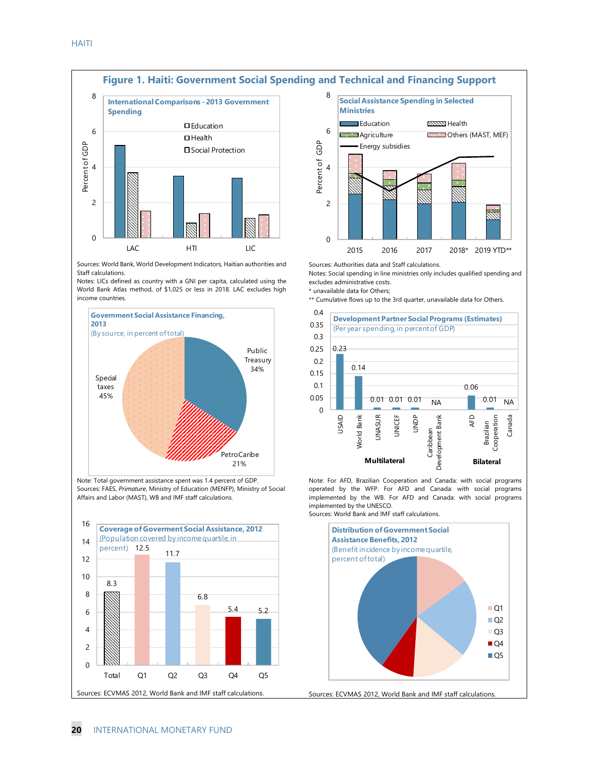

Sources: World Bank, World Development Indicators, Haitian authorities and Staff calculations.

Notes: LICs defined as country with a GNI per capita, calculated using the World Bank Atlas method, of \$1,025 or less in 2018. LAC excludes high income countries.



Note: Total government assistance spent was 1.4 percent of GDP. Sources: FAES, *Primature*, Ministry of Education (MENFP), Ministry of Social Affairs and Labor (MAST), WB and IMF staff calculations.





Sources: Authorities data and Staff calculations.

Notes: Social spending in line ministries only includes qualified spending and excludes administrative costs.

\* unavailable data for Others;

\*\* Cumulative flows up to the 3rd quarter, unavailable data for Others.



Note: For AFD, Brazilian Cooperation and Canada: with social programs operated by the WFP. For AFD and Canada: with social programs implemented by the WB. For AFD and Canada: with social programs implemented by the UNESCO. Sources: World Bank and IMF staff calculations.

Sources: ECVMAS 2012, World Bank and IMF staff calculations. **Distribution of Government Social Assistance Benefits, 2012** (Benefit incidence by income quartile, percent of total) Q1 ■Q2  $Q<sub>3</sub>$  $\blacksquare$  O4  $Q5$ 

**20** INTERNATIONAL MONETARY FUND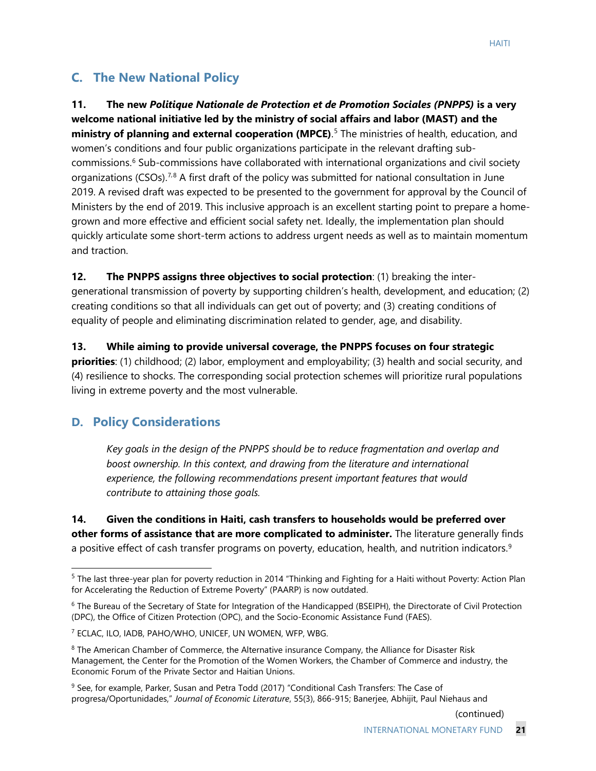### **C. The New National Policy**

**11. The new** *Politique Nationale de Protection et de Promotion Sociales (PNPPS)* **is a very welcome national initiative led by the ministry of social affairs and labor (MAST) and the** ministry of planning and external cooperation (MPCE).<sup>[5](#page-21-0)</sup> The ministries of health, education, and women's conditions and four public organizations participate in the relevant drafting subcommissions.[6](#page-21-1) Sub-commissions have collaborated with international organizations and civil society organizations (CSOs).<sup>7,[8](#page-21-3)</sup> A first draft of the policy was submitted for national consultation in June 2019. A revised draft was expected to be presented to the government for approval by the Council of Ministers by the end of 2019. This inclusive approach is an excellent starting point to prepare a homegrown and more effective and efficient social safety net. Ideally, the implementation plan should quickly articulate some short-term actions to address urgent needs as well as to maintain momentum and traction.

**12. The PNPPS assigns three objectives to social protection**: (1) breaking the intergenerational transmission of poverty by supporting children's health, development, and education; (2) creating conditions so that all individuals can get out of poverty; and (3) creating conditions of equality of people and eliminating discrimination related to gender, age, and disability.

**13. While aiming to provide universal coverage, the PNPPS focuses on four strategic priorities**: (1) childhood; (2) labor, employment and employability; (3) health and social security, and (4) resilience to shocks. The corresponding social protection schemes will prioritize rural populations living in extreme poverty and the most vulnerable.

#### **D. Policy Considerations**

*Key goals in the design of the PNPPS should be to reduce fragmentation and overlap and boost ownership. In this context, and drawing from the literature and international experience, the following recommendations present important features that would contribute to attaining those goals.*

**14. Given the conditions in Haiti, cash transfers to households would be preferred over other forms of assistance that are more complicated to administer.** The literature generally finds a positive effect of cash transfer programs on poverty, education, health, and nutrition indicators.<sup>[9](#page-21-4)</sup>

(continued)

<span id="page-21-0"></span><sup>&</sup>lt;sup>5</sup> The last three-year plan for poverty reduction in 2014 "Thinking and Fighting for a Haiti without Poverty: Action Plan for Accelerating the Reduction of Extreme Poverty" (PAARP) is now outdated.

<span id="page-21-1"></span><sup>&</sup>lt;sup>6</sup> The Bureau of the Secretary of State for Integration of the Handicapped (BSEIPH), the Directorate of Civil Protection (DPC), the Office of Citizen Protection (OPC), and the Socio-Economic Assistance Fund (FAES).

<span id="page-21-2"></span><sup>7</sup> ECLAC, ILO, IADB, PAHO/WHO, UNICEF, UN WOMEN, WFP, WBG.

<span id="page-21-3"></span><sup>8</sup> The American Chamber of Commerce, the Alternative insurance Company, the Alliance for Disaster Risk Management, the Center for the Promotion of the Women Workers, the Chamber of Commerce and industry, the Economic Forum of the Private Sector and Haitian Unions.

<span id="page-21-4"></span><sup>&</sup>lt;sup>9</sup> See, for example, Parker, Susan and Petra Todd (2017) "Conditional Cash Transfers: The Case of progresa/Oportunidades," *Journal of Economic Literature*, 55(3), 866-915; Banerjee, Abhijit, Paul Niehaus and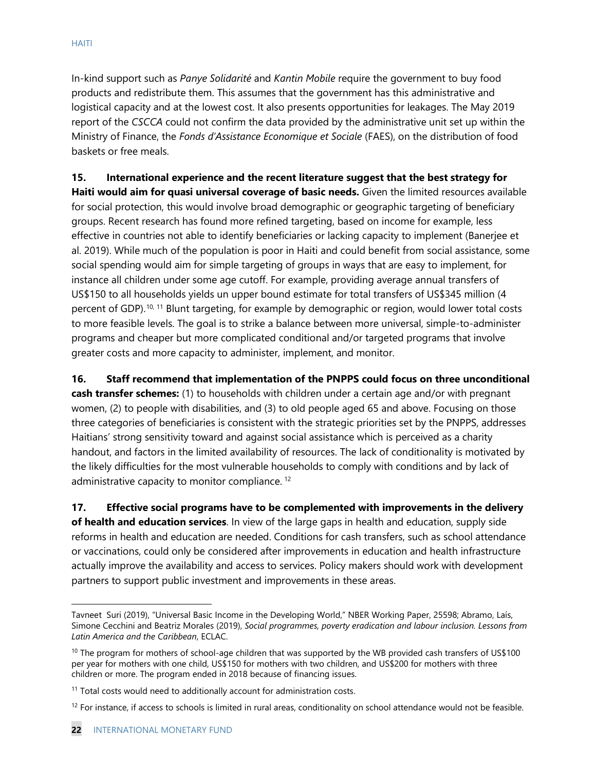In-kind support such as *Panye Solidarité* and *Kantin Mobile* require the government to buy food products and redistribute them. This assumes that the government has this administrative and logistical capacity and at the lowest cost. It also presents opportunities for leakages. The May 2019 report of the *CSCCA* could not confirm the data provided by the administrative unit set up within the Ministry of Finance, the *Fonds d'Assistance Economique et Sociale* (FAES), on the distribution of food baskets or free meals.

**15. International experience and the recent literature suggest that the best strategy for Haiti would aim for quasi universal coverage of basic needs.** Given the limited resources available for social protection, this would involve broad demographic or geographic targeting of beneficiary groups. Recent research has found more refined targeting, based on income for example, less effective in countries not able to identify beneficiaries or lacking capacity to implement (Banerjee et al. 2019). While much of the population is poor in Haiti and could benefit from social assistance, some social spending would aim for simple targeting of groups in ways that are easy to implement, for instance all children under some age cutoff. For example, providing average annual transfers of US\$150 to all households yields un upper bound estimate for total transfers of US\$345 million (4 percent of GDP).<sup>[10](#page-22-0), [11](#page-22-1)</sup> Blunt targeting, for example by demographic or region, would lower total costs to more feasible levels. The goal is to strike a balance between more universal, simple-to-administer programs and cheaper but more complicated conditional and/or targeted programs that involve greater costs and more capacity to administer, implement, and monitor.

**16. Staff recommend that implementation of the PNPPS could focus on three unconditional cash transfer schemes:** (1) to households with children under a certain age and/or with pregnant women, (2) to people with disabilities, and (3) to old people aged 65 and above. Focusing on those three categories of beneficiaries is consistent with the strategic priorities set by the PNPPS, addresses Haitians' strong sensitivity toward and against social assistance which is perceived as a charity handout, and factors in the limited availability of resources. The lack of conditionality is motivated by the likely difficulties for the most vulnerable households to comply with conditions and by lack of administrative capacity to monitor compliance.<sup>[12](#page-22-2)</sup>

**17. Effective social programs have to be complemented with improvements in the delivery of health and education services**. In view of the large gaps in health and education, supply side reforms in health and education are needed. Conditions for cash transfers, such as school attendance or vaccinations, could only be considered after improvements in education and health infrastructure actually improve the availability and access to services. Policy makers should work with development partners to support public investment and improvements in these areas.

Tavneet Suri (2019), "Universal Basic Income in the Developing World," NBER Working Paper, 25598; Abramo, Laís, Simone Cecchini and Beatriz Morales (2019), *Social programmes, poverty eradication and labour inclusion. Lessons from Latin America and the Caribbean*, ECLAC.

<span id="page-22-0"></span> $10$  The program for mothers of school-age children that was supported by the WB provided cash transfers of US\$100 per year for mothers with one child, US\$150 for mothers with two children, and US\$200 for mothers with three children or more. The program ended in 2018 because of financing issues.

<span id="page-22-1"></span> $11$  Total costs would need to additionally account for administration costs.

<span id="page-22-2"></span> $12$  For instance, if access to schools is limited in rural areas, conditionality on school attendance would not be feasible.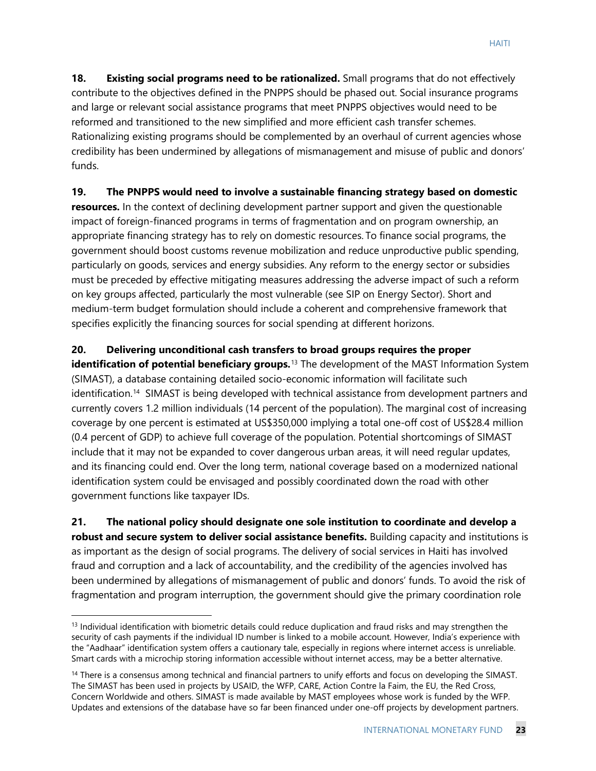**18. Existing social programs need to be rationalized.** Small programs that do not effectively contribute to the objectives defined in the PNPPS should be phased out. Social insurance programs and large or relevant social assistance programs that meet PNPPS objectives would need to be reformed and transitioned to the new simplified and more efficient cash transfer schemes. Rationalizing existing programs should be complemented by an overhaul of current agencies whose credibility has been undermined by allegations of mismanagement and misuse of public and donors' funds.

**19. The PNPPS would need to involve a sustainable financing strategy based on domestic resources.** In the context of declining development partner support and given the questionable impact of foreign-financed programs in terms of fragmentation and on program ownership, an appropriate financing strategy has to rely on domestic resources. To finance social programs, the government should boost customs revenue mobilization and reduce unproductive public spending, particularly on goods, services and energy subsidies. Any reform to the energy sector or subsidies must be preceded by effective mitigating measures addressing the adverse impact of such a reform on key groups affected, particularly the most vulnerable (see SIP on Energy Sector). Short and medium-term budget formulation should include a coherent and comprehensive framework that specifies explicitly the financing sources for social spending at different horizons.

#### **20. Delivering unconditional cash transfers to broad groups requires the proper**

**identification of potential beneficiary groups.**<sup>[13](#page-23-0)</sup> The development of the MAST Information System (SIMAST), a database containing detailed socio-economic information will facilitate such identification.<sup>14</sup> SIMAST is being developed with technical assistance from development partners and currently covers 1.2 million individuals (14 percent of the population). The marginal cost of increasing coverage by one percent is estimated at US\$350,000 implying a total one-off cost of US\$28.4 million (0.4 percent of GDP) to achieve full coverage of the population. Potential shortcomings of SIMAST include that it may not be expanded to cover dangerous urban areas, it will need regular updates, and its financing could end. Over the long term, national coverage based on a modernized national identification system could be envisaged and possibly coordinated down the road with other government functions like taxpayer IDs.

**21. The national policy should designate one sole institution to coordinate and develop a robust and secure system to deliver social assistance benefits.** Building capacity and institutions is as important as the design of social programs. The delivery of social services in Haiti has involved fraud and corruption and a lack of accountability, and the credibility of the agencies involved has been undermined by allegations of mismanagement of public and donors' funds. To avoid the risk of fragmentation and program interruption, the government should give the primary coordination role

<span id="page-23-0"></span> $13$  Individual identification with biometric details could reduce duplication and fraud risks and may strengthen the security of cash payments if the individual ID number is linked to a mobile account. However, India's experience with the "Aadhaar" identification system offers a cautionary tale, especially in regions where internet access is unreliable. Smart cards with a microchip storing information accessible without internet access, may be a better alternative.

<span id="page-23-1"></span><sup>&</sup>lt;sup>14</sup> There is a consensus among technical and financial partners to unify efforts and focus on developing the SIMAST. The SIMAST has been used in projects by USAID, the WFP, CARE, Action Contre la Faim, the EU, the Red Cross, Concern Worldwide and others. SIMAST is made available by MAST employees whose work is funded by the WFP. Updates and extensions of the database have so far been financed under one-off projects by development partners.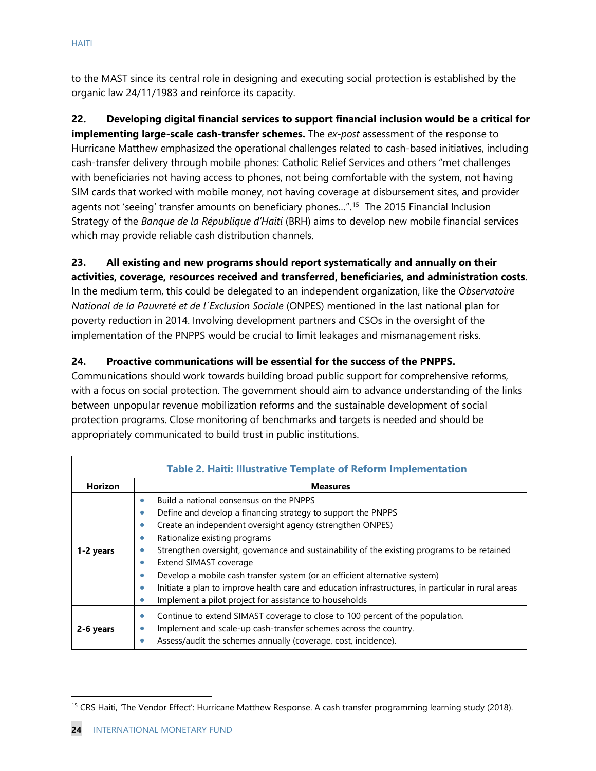to the MAST since its central role in designing and executing social protection is established by the organic law 24/11/1983 and reinforce its capacity.

**22. Developing digital financial services to support financial inclusion would be a critical for implementing large-scale cash-transfer schemes.** The *ex-post* assessment of the response to Hurricane Matthew emphasized the operational challenges related to cash-based initiatives, including cash-transfer delivery through mobile phones: Catholic Relief Services and others "met challenges with beneficiaries not having access to phones, not being comfortable with the system, not having SIM cards that worked with mobile money, not having coverage at disbursement sites, and provider agents not 'seeing' transfer amounts on beneficiary phones...".<sup>[15](#page-24-0)</sup> The 2015 Financial Inclusion Strategy of the *Banque de la République d'Haiti* (BRH) aims to develop new mobile financial services which may provide reliable cash distribution channels.

# **23. All existing and new programs should report systematically and annually on their**

**activities, coverage, resources received and transferred, beneficiaries, and administration costs**. In the medium term, this could be delegated to an independent organization, like the *Observatoire National de la Pauvreté et de l´Exclusion Sociale* (ONPES) mentioned in the last national plan for poverty reduction in 2014. Involving development partners and CSOs in the oversight of the implementation of the PNPPS would be crucial to limit leakages and mismanagement risks.

#### **24. Proactive communications will be essential for the success of the PNPPS.**

Communications should work towards building broad public support for comprehensive reforms, with a focus on social protection. The government should aim to advance understanding of the links between unpopular revenue mobilization reforms and the sustainable development of social protection programs. Close monitoring of benchmarks and targets is needed and should be appropriately communicated to build trust in public institutions.

| <b>Table 2. Haiti: Illustrative Template of Reform Implementation</b> |                                                                                                         |  |  |  |  |  |
|-----------------------------------------------------------------------|---------------------------------------------------------------------------------------------------------|--|--|--|--|--|
| Horizon<br><b>Measures</b>                                            |                                                                                                         |  |  |  |  |  |
|                                                                       | Build a national consensus on the PNPPS<br>$\bullet$                                                    |  |  |  |  |  |
|                                                                       | Define and develop a financing strategy to support the PNPPS<br>٠                                       |  |  |  |  |  |
|                                                                       | Create an independent oversight agency (strengthen ONPES)<br>$\bullet$                                  |  |  |  |  |  |
|                                                                       | Rationalize existing programs<br>۰                                                                      |  |  |  |  |  |
| 1-2 years                                                             | Strengthen oversight, governance and sustainability of the existing programs to be retained<br>٠        |  |  |  |  |  |
|                                                                       | Extend SIMAST coverage<br>٠                                                                             |  |  |  |  |  |
|                                                                       | Develop a mobile cash transfer system (or an efficient alternative system)<br>0                         |  |  |  |  |  |
|                                                                       | Initiate a plan to improve health care and education infrastructures, in particular in rural areas<br>۰ |  |  |  |  |  |
|                                                                       | Implement a pilot project for assistance to households<br>0                                             |  |  |  |  |  |
|                                                                       | Continue to extend SIMAST coverage to close to 100 percent of the population.<br>$\bullet$              |  |  |  |  |  |
| 2-6 years                                                             | Implement and scale-up cash-transfer schemes across the country.<br>0                                   |  |  |  |  |  |
|                                                                       | Assess/audit the schemes annually (coverage, cost, incidence).<br>۰                                     |  |  |  |  |  |

<span id="page-24-0"></span><sup>15</sup> CRS Haiti, *'*The Vendor Effect': Hurricane Matthew Response. A cash transfer programming learning study (2018).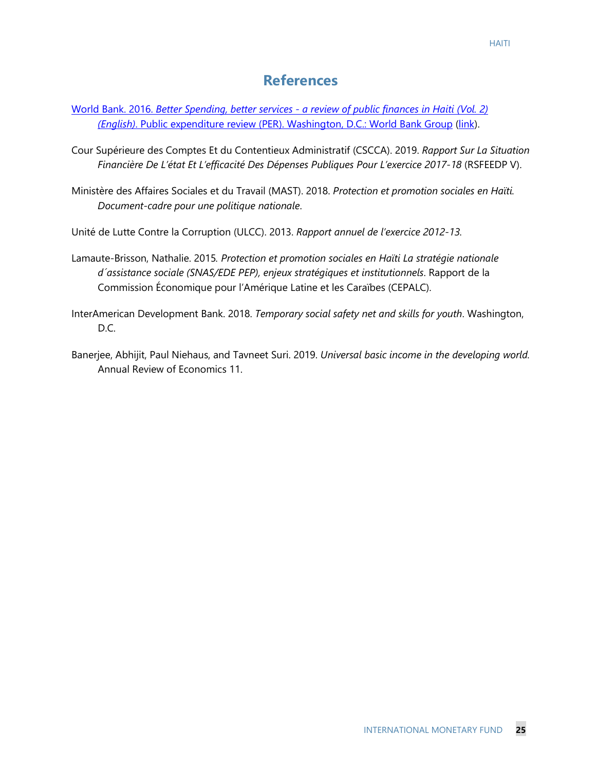- [World Bank. 2016.](http://documents.banquemondiale.org/curated/en/964461467030596497/Better-spending-better-services-a-review-of-public-finances-in-Haiti) *Better Spending, better services - a review of public finances in Haiti (Vol. 2) (English)*[. Public expenditure review \(PER\). Washington, D.C.: World Bank Group](http://documents.banquemondiale.org/curated/en/964461467030596497/Better-spending-better-services-a-review-of-public-finances-in-Haiti) [\(link\)](http://documents.banquemondiale.org/curated/en/964461467030596497/Better-spending-better-services-a-review-of-public-finances-in-Haiti).
- Cour Supérieure des Comptes Et du Contentieux Administratif (CSCCA). 2019. *Rapport Sur La Situation Financière De L'état Et L'efficacité Des Dépenses Publiques Pour L'exercice 2017-18* (RSFEEDP V).
- Ministère des Affaires Sociales et du Travail (MAST). 2018. *Protection et promotion sociales en Haïti. Document-cadre pour une politique nationale*.
- Unité de Lutte Contre la Corruption (ULCC). 2013. *Rapport annuel de l'exercice 2012-13.*
- Lamaute-Brisson, Nathalie. 2015*. Protection et promotion sociales en Haïti La stratégie nationale d´assistance sociale (SNAS/EDE PEP), enjeux stratégiques et institutionnels*. Rapport de la Commission Économique pour l'Amérique Latine et les Caraïbes (CEPALC).
- InterAmerican Development Bank. 2018. *Temporary social safety net and skills for youth*. Washington, D.C.
- Banerjee, Abhijit, Paul Niehaus, and Tavneet Suri. 2019. *Universal basic income in the developing world.* Annual Review of Economics 11.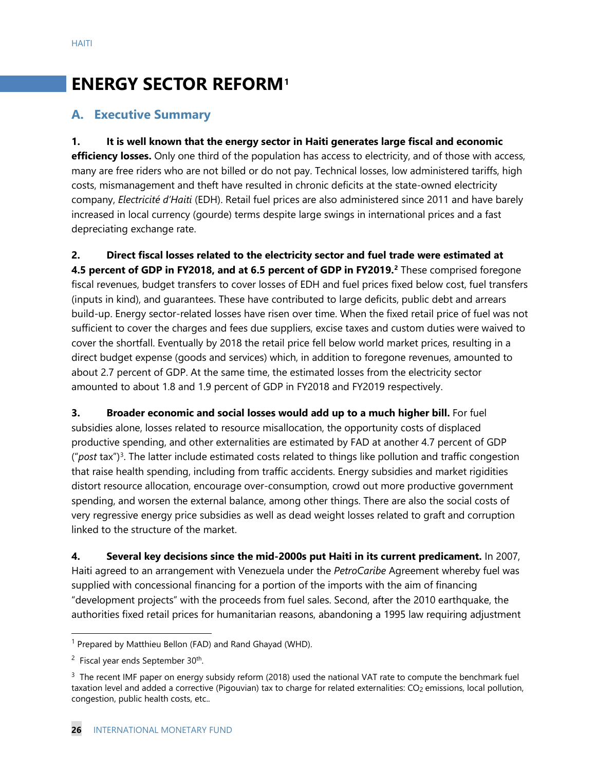# **ENERGY SECTOR REFORM[1](#page-26-0)**

### **A. Executive Summary**

**1. It is well known that the energy sector in Haiti generates large fiscal and economic efficiency losses.** Only one third of the population has access to electricity, and of those with access, many are free riders who are not billed or do not pay. Technical losses, low administered tariffs, high costs, mismanagement and theft have resulted in chronic deficits at the state-owned electricity company, *Electricité d'Haiti* (EDH). Retail fuel prices are also administered since 2011 and have barely increased in local currency (gourde) terms despite large swings in international prices and a fast depreciating exchange rate.

**2. Direct fiscal losses related to the electricity sector and fuel trade were estimated at 4.5 percent of GDP in FY2018, and at 6.5 percent of GDP in FY2019.[2](#page-26-1)** These comprised foregone fiscal revenues, budget transfers to cover losses of EDH and fuel prices fixed below cost, fuel transfers (inputs in kind), and guarantees. These have contributed to large deficits, public debt and arrears build-up. Energy sector-related losses have risen over time. When the fixed retail price of fuel was not sufficient to cover the charges and fees due suppliers, excise taxes and custom duties were waived to cover the shortfall. Eventually by 2018 the retail price fell below world market prices, resulting in a direct budget expense (goods and services) which, in addition to foregone revenues, amounted to about 2.7 percent of GDP. At the same time, the estimated losses from the electricity sector amounted to about 1.8 and 1.9 percent of GDP in FY2018 and FY2019 respectively.

**3. Broader economic and social losses would add up to a much higher bill.** For fuel subsidies alone, losses related to resource misallocation, the opportunity costs of displaced productive spending, and other externalities are estimated by FAD at another 4.7 percent of GDP ("*post* tax")[3](#page-26-2). The latter include estimated costs related to things like pollution and traffic congestion that raise health spending, including from traffic accidents. Energy subsidies and market rigidities distort resource allocation, encourage over-consumption, crowd out more productive government spending, and worsen the external balance, among other things. There are also the social costs of very regressive energy price subsidies as well as dead weight losses related to graft and corruption linked to the structure of the market.

**4. Several key decisions since the mid-2000s put Haiti in its current predicament.** In 2007, Haiti agreed to an arrangement with Venezuela under the *PetroCaribe* Agreement whereby fuel was supplied with concessional financing for a portion of the imports with the aim of financing "development projects" with the proceeds from fuel sales. Second, after the 2010 earthquake, the authorities fixed retail prices for humanitarian reasons, abandoning a 1995 law requiring adjustment

<span id="page-26-0"></span><sup>&</sup>lt;sup>1</sup> Prepared by Matthieu Bellon (FAD) and Rand Ghayad (WHD).

<span id="page-26-1"></span><sup>&</sup>lt;sup>2</sup> Fiscal year ends September 30<sup>th</sup>.

<span id="page-26-2"></span> $3$  The recent IMF paper on energy subsidy reform (2018) used the national VAT rate to compute the benchmark fuel taxation level and added a corrective (Pigouvian) tax to charge for related externalities: CO<sub>2</sub> emissions, local pollution, congestion, public health costs, etc..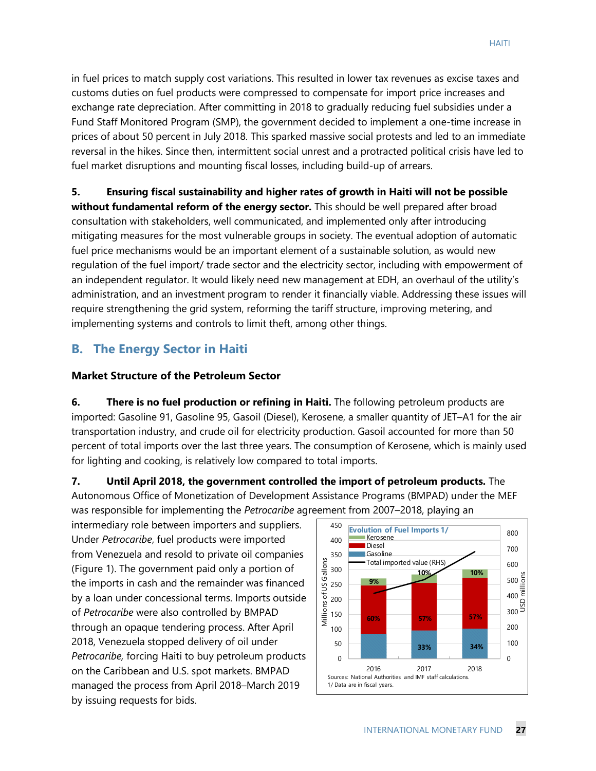in fuel prices to match supply cost variations. This resulted in lower tax revenues as excise taxes and customs duties on fuel products were compressed to compensate for import price increases and exchange rate depreciation. After committing in 2018 to gradually reducing fuel subsidies under a Fund Staff Monitored Program (SMP), the government decided to implement a one-time increase in prices of about 50 percent in July 2018. This sparked massive social protests and led to an immediate reversal in the hikes. Since then, intermittent social unrest and a protracted political crisis have led to fuel market disruptions and mounting fiscal losses, including build-up of arrears.

**5. Ensuring fiscal sustainability and higher rates of growth in Haiti will not be possible without fundamental reform of the energy sector.** This should be well prepared after broad consultation with stakeholders, well communicated, and implemented only after introducing mitigating measures for the most vulnerable groups in society. The eventual adoption of automatic fuel price mechanisms would be an important element of a sustainable solution, as would new regulation of the fuel import/ trade sector and the electricity sector, including with empowerment of an independent regulator. It would likely need new management at EDH, an overhaul of the utility's administration, and an investment program to render it financially viable. Addressing these issues will require strengthening the grid system, reforming the tariff structure, improving metering, and implementing systems and controls to limit theft, among other things.

# **B. The Energy Sector in Haiti**

#### **Market Structure of the Petroleum Sector**

**6. There is no fuel production or refining in Haiti.** The following petroleum products are imported: Gasoline 91, Gasoline 95, Gasoil (Diesel), Kerosene, a smaller quantity of JET–A1 for the air transportation industry, and crude oil for electricity production. Gasoil accounted for more than 50 percent of total imports over the last three years. The consumption of Kerosene, which is mainly used for lighting and cooking, is relatively low compared to total imports.

**7. Until April 2018, the government controlled the import of petroleum products.** The Autonomous Office of Monetization of Development Assistance Programs (BMPAD) under the MEF was responsible for implementing the *Petrocaribe* agreement from 2007–2018, playing an

intermediary role between importers and suppliers. Under *Petrocaribe*, fuel products were imported from Venezuela and resold to private oil companies (Figure 1). The government paid only a portion of the imports in cash and the remainder was financed by a loan under concessional terms. Imports outside of *Petrocaribe* were also controlled by BMPAD through an opaque tendering process. After April 2018, Venezuela stopped delivery of oil under *Petrocaribe,* forcing Haiti to buy petroleum products on the Caribbean and U.S. spot markets. BMPAD managed the process from April 2018–March 2019 by issuing requests for bids.

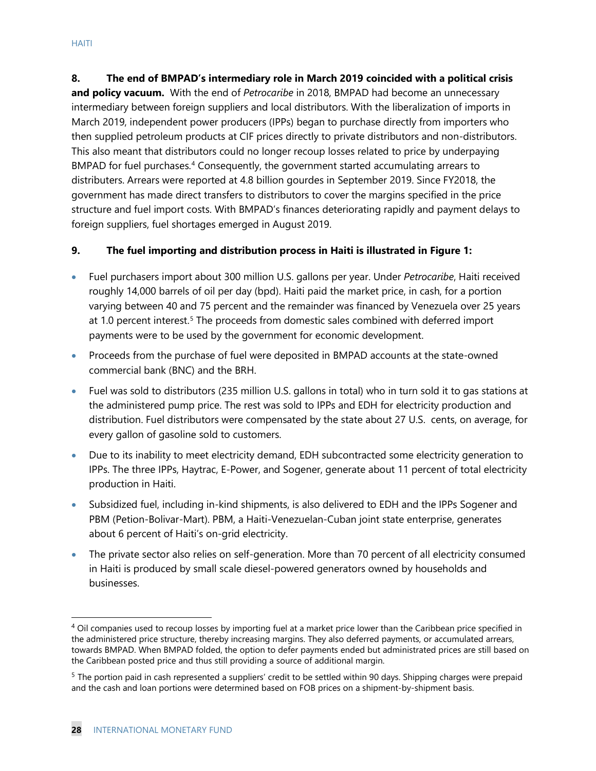**8. The end of BMPAD's intermediary role in March 2019 coincided with a political crisis and policy vacuum.** With the end of *Petrocaribe* in 2018, BMPAD had become an unnecessary intermediary between foreign suppliers and local distributors. With the liberalization of imports in March 2019, independent power producers (IPPs) began to purchase directly from importers who then supplied petroleum products at CIF prices directly to private distributors and non-distributors. This also meant that distributors could no longer recoup losses related to price by underpaying BMPAD for fuel purchases.<sup>[4](#page-28-0)</sup> Consequently, the government started accumulating arrears to distributers. Arrears were reported at 4.8 billion gourdes in September 2019. Since FY2018, the government has made direct transfers to distributors to cover the margins specified in the price structure and fuel import costs. With BMPAD's finances deteriorating rapidly and payment delays to foreign suppliers, fuel shortages emerged in August 2019.

#### **9. The fuel importing and distribution process in Haiti is illustrated in Figure 1:**

- Fuel purchasers import about 300 million U.S. gallons per year. Under *Petrocaribe*, Haiti received roughly 14,000 barrels of oil per day (bpd). Haiti paid the market price, in cash, for a portion varying between 40 and 75 percent and the remainder was financed by Venezuela over 25 years at 1.0 percent interest.<sup>[5](#page-28-1)</sup> The proceeds from domestic sales combined with deferred import payments were to be used by the government for economic development.
- Proceeds from the purchase of fuel were deposited in BMPAD accounts at the state-owned commercial bank (BNC) and the BRH.
- Fuel was sold to distributors (235 million U.S. gallons in total) who in turn sold it to gas stations at the administered pump price. The rest was sold to IPPs and EDH for electricity production and distribution. Fuel distributors were compensated by the state about 27 U.S. cents, on average, for every gallon of gasoline sold to customers.
- Due to its inability to meet electricity demand, EDH subcontracted some electricity generation to IPPs. The three IPPs, Haytrac, E-Power, and Sogener, generate about 11 percent of total electricity production in Haiti.
- Subsidized fuel, including in-kind shipments, is also delivered to EDH and the IPPs Sogener and PBM (Petion-Bolivar-Mart). PBM, a Haiti-Venezuelan-Cuban joint state enterprise, generates about 6 percent of Haiti's on-grid electricity.
- The private sector also relies on self-generation. More than 70 percent of all electricity consumed in Haiti is produced by small scale diesel-powered generators owned by households and businesses.

<span id="page-28-0"></span><sup>&</sup>lt;sup>4</sup> Oil companies used to recoup losses by importing fuel at a market price lower than the Caribbean price specified in the administered price structure, thereby increasing margins. They also deferred payments, or accumulated arrears, towards BMPAD. When BMPAD folded, the option to defer payments ended but administrated prices are still based on the Caribbean posted price and thus still providing a source of additional margin.

<span id="page-28-1"></span> $<sup>5</sup>$  The portion paid in cash represented a suppliers' credit to be settled within 90 days. Shipping charges were prepaid</sup> and the cash and loan portions were determined based on FOB prices on a shipment-by-shipment basis.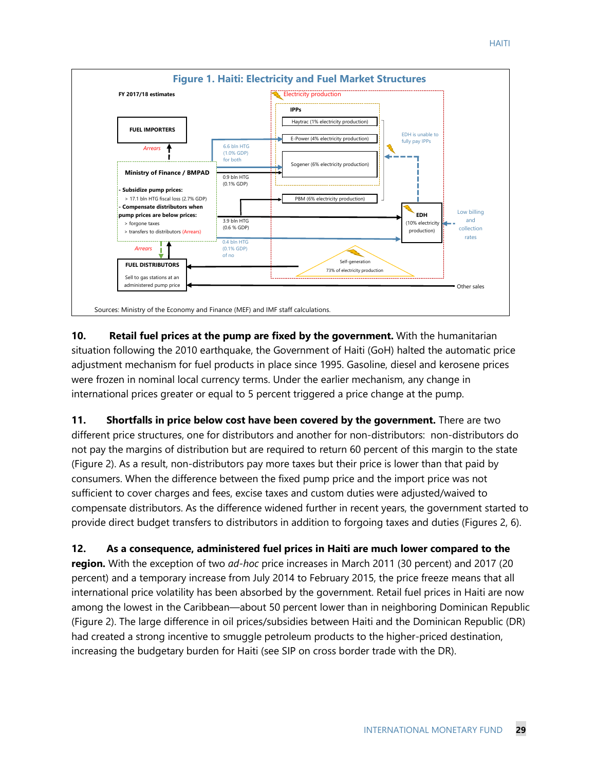

**10. Retail fuel prices at the pump are fixed by the government.** With the humanitarian situation following the 2010 earthquake, the Government of Haiti (GoH) halted the automatic price adjustment mechanism for fuel products in place since 1995. Gasoline, diesel and kerosene prices were frozen in nominal local currency terms. Under the earlier mechanism, any change in international prices greater or equal to 5 percent triggered a price change at the pump.

**11. Shortfalls in price below cost have been covered by the government.** There are two different price structures, one for distributors and another for non-distributors: non-distributors do not pay the margins of distribution but are required to return 60 percent of this margin to the state (Figure 2). As a result, non-distributors pay more taxes but their price is lower than that paid by consumers. When the difference between the fixed pump price and the import price was not sufficient to cover charges and fees, excise taxes and custom duties were adjusted/waived to compensate distributors. As the difference widened further in recent years, the government started to provide direct budget transfers to distributors in addition to forgoing taxes and duties (Figures 2, 6).

**12. As a consequence, administered fuel prices in Haiti are much lower compared to the region.** With the exception of two *ad-hoc* price increases in March 2011 (30 percent) and 2017 (20 percent) and a temporary increase from July 2014 to February 2015, the price freeze means that all international price volatility has been absorbed by the government. Retail fuel prices in Haiti are now among the lowest in the Caribbean—about 50 percent lower than in neighboring Dominican Republic (Figure 2). The large difference in oil prices/subsidies between Haiti and the Dominican Republic (DR) had created a strong incentive to smuggle petroleum products to the higher-priced destination, increasing the budgetary burden for Haiti (see SIP on cross border trade with the DR).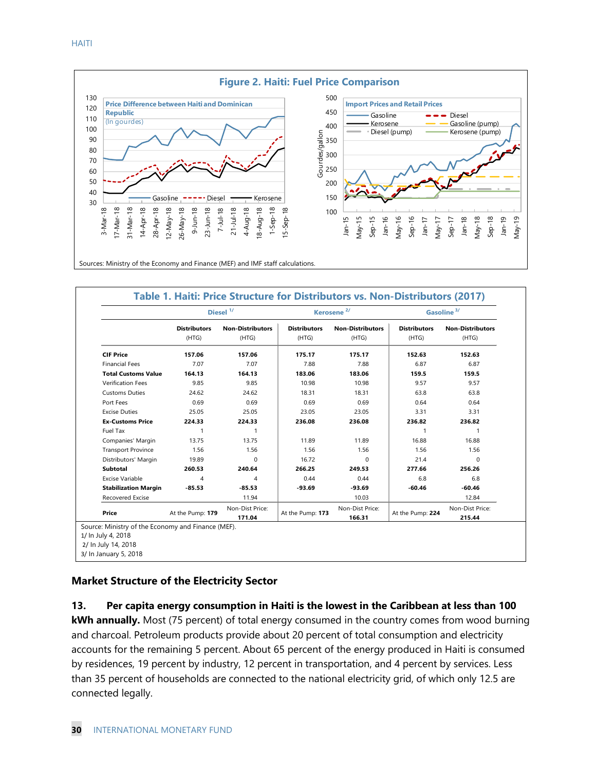

|                                                                                                 |                              | Diesel <sup>1/</sup>             |                              | Kerosene <sup>2/</sup>           |                              | Gasoline <sup>3/</sup>           |  |
|-------------------------------------------------------------------------------------------------|------------------------------|----------------------------------|------------------------------|----------------------------------|------------------------------|----------------------------------|--|
|                                                                                                 | <b>Distributors</b><br>(HTG) | <b>Non-Distributors</b><br>(HTG) | <b>Distributors</b><br>(HTG) | <b>Non-Distributors</b><br>(HTG) | <b>Distributors</b><br>(HTG) | <b>Non-Distributors</b><br>(HTG) |  |
| <b>CIF Price</b>                                                                                | 157.06                       | 157.06                           | 175.17                       | 175.17                           | 152.63                       | 152.63                           |  |
| <b>Financial Fees</b>                                                                           | 7.07                         | 7.07                             | 7.88                         | 7.88                             | 6.87                         | 6.87                             |  |
| <b>Total Customs Value</b>                                                                      | 164.13                       | 164.13                           | 183.06                       | 183.06                           | 159.5                        | 159.5                            |  |
| <b>Verification Fees</b>                                                                        | 9.85                         | 9.85                             | 10.98                        | 10.98                            | 9.57                         | 9.57                             |  |
| <b>Customs Duties</b>                                                                           | 24.62                        | 24.62                            | 18.31                        | 18.31                            | 63.8                         | 63.8                             |  |
| Port Fees                                                                                       | 0.69                         | 0.69                             | 0.69                         | 0.69                             | 0.64                         | 0.64                             |  |
| <b>Excise Duties</b>                                                                            | 25.05                        | 25.05                            | 23.05                        | 23.05                            | 3.31                         | 3.31                             |  |
| <b>Ex-Customs Price</b>                                                                         | 224.33                       | 224.33                           | 236.08                       | 236.08                           | 236.82                       | 236.82                           |  |
| Fuel Tax                                                                                        | 1                            | -1                               |                              |                                  | $\mathbf{1}$                 | 1                                |  |
| Companies' Margin                                                                               | 13.75                        | 13.75                            | 11.89                        | 11.89                            | 16.88                        | 16.88                            |  |
| <b>Transport Province</b>                                                                       | 1.56                         | 1.56                             | 1.56                         | 1.56                             | 1.56                         | 1.56                             |  |
| Distributors' Margin                                                                            | 19.89                        | $\Omega$                         | 16.72                        | $\Omega$                         | 21.4                         | $\Omega$                         |  |
| Subtotal                                                                                        | 260.53                       | 240.64                           | 266.25                       | 249.53                           | 277.66                       | 256.26                           |  |
| Excise Variable                                                                                 | 4                            | 4                                | 0.44                         | 0.44                             | 6.8                          | 6.8                              |  |
| <b>Stabilization Margin</b>                                                                     | $-85.53$                     | $-85.53$                         | $-93.69$                     | $-93.69$                         | $-60.46$                     | $-60.46$                         |  |
| <b>Recovered Excise</b>                                                                         |                              | 11.94                            |                              | 10.03                            |                              | 12.84                            |  |
| Price                                                                                           | At the Pump: 179             | Non-Dist Price:<br>171.04        | At the Pump: 173             | Non-Dist Price:<br>166.31        | At the Pump: 224             | Non-Dist Price:<br>215.44        |  |
| Source: Ministry of the Economy and Finance (MEF).<br>1/ In July 4, 2018<br>2/ In July 14, 2018 |                              |                                  |                              |                                  |                              |                                  |  |

#### **Market Structure of the Electricity Sector**

#### **13. Per capita energy consumption in Haiti is the lowest in the Caribbean at less than 100**

**kWh annually.** Most (75 percent) of total energy consumed in the country comes from wood burning and charcoal. Petroleum products provide about 20 percent of total consumption and electricity accounts for the remaining 5 percent. About 65 percent of the energy produced in Haiti is consumed by residences, 19 percent by industry, 12 percent in transportation, and 4 percent by services. Less than 35 percent of households are connected to the national electricity grid, of which only 12.5 are connected legally.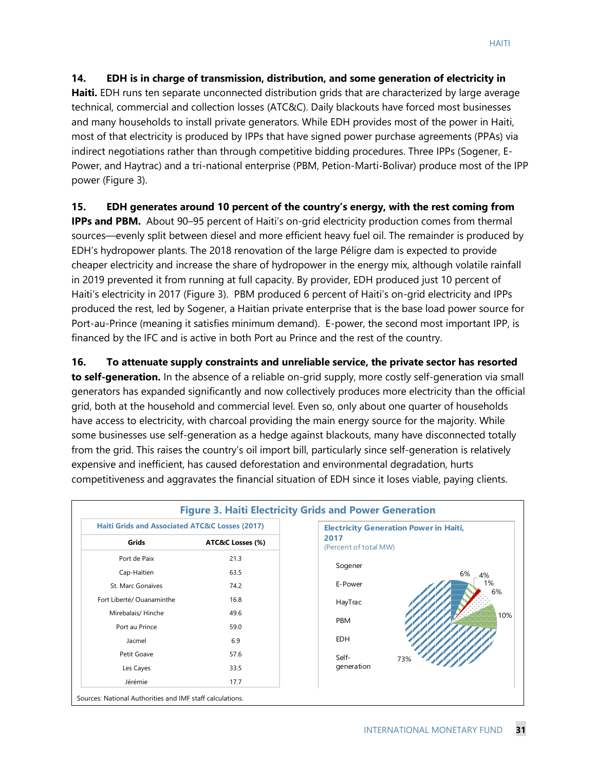#### **14. EDH is in charge of transmission, distribution, and some generation of electricity in**

**Haiti.** EDH runs ten separate unconnected distribution grids that are characterized by large average technical, commercial and collection losses (ATC&C). Daily blackouts have forced most businesses and many households to install private generators. While EDH provides most of the power in Haiti, most of that electricity is produced by IPPs that have signed power purchase agreements (PPAs) via indirect negotiations rather than through competitive bidding procedures. Three IPPs (Sogener, E-Power, and Haytrac) and a tri-national enterprise (PBM, Petion-Marti-Bolivar) produce most of the IPP power (Figure 3).

#### **15. EDH generates around 10 percent of the country's energy, with the rest coming from**

**IPPs and PBM.** About 90–95 percent of Haiti's on-grid electricity production comes from thermal sources—evenly split between diesel and more efficient heavy fuel oil. The remainder is produced by EDH's hydropower plants. The 2018 renovation of the large Péligre dam is expected to provide cheaper electricity and increase the share of hydropower in the energy mix, although volatile rainfall in 2019 prevented it from running at full capacity. By provider, EDH produced just 10 percent of Haiti's electricity in 2017 (Figure 3). PBM produced 6 percent of Haiti's on-grid electricity and IPPs produced the rest, led by Sogener, a Haitian private enterprise that is the base load power source for Port-au-Prince (meaning it satisfies minimum demand). E-power, the second most important IPP, is financed by the IFC and is active in both Port au Prince and the rest of the country.

**16. To attenuate supply constraints and unreliable service, the private sector has resorted** 

**to self-generation.** In the absence of a reliable on-grid supply, more costly self-generation via small generators has expanded significantly and now collectively produces more electricity than the official grid, both at the household and commercial level. Even so, only about one quarter of households have access to electricity, with charcoal providing the main energy source for the majority. While some businesses use self-generation as a hedge against blackouts, many have disconnected totally from the grid. This raises the country's oil import bill, particularly since self-generation is relatively expensive and inefficient, has caused deforestation and environmental degradation, hurts competitiveness and aggravates the financial situation of EDH since it loses viable, paying clients.

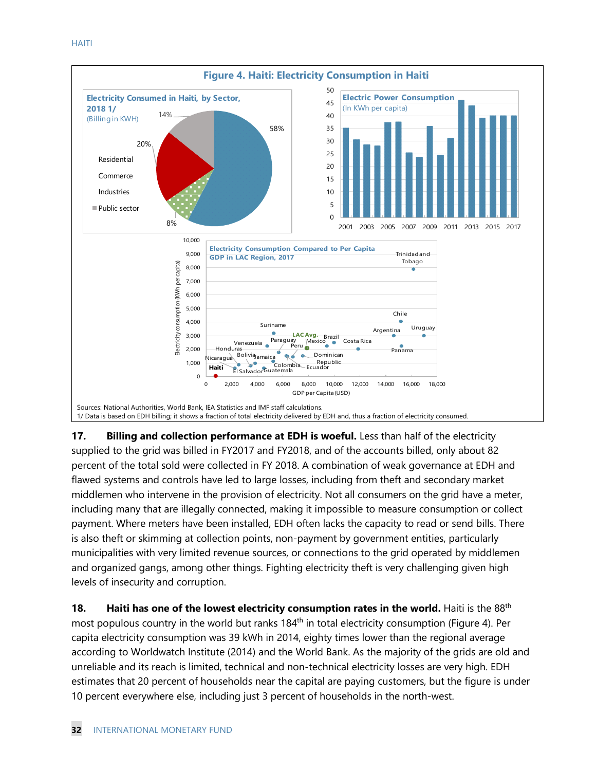

**17.** Billing and collection performance at EDH is woeful. Less than half of the electricity supplied to the grid was billed in FY2017 and FY2018, and of the accounts billed, only about 82 percent of the total sold were collected in FY 2018. A combination of weak governance at EDH and flawed systems and controls have led to large losses, including from theft and secondary market middlemen who intervene in the provision of electricity. Not all consumers on the grid have a meter, including many that are illegally connected, making it impossible to measure consumption or collect payment. Where meters have been installed, EDH often lacks the capacity to read or send bills. There is also theft or skimming at collection points, non-payment by government entities, particularly municipalities with very limited revenue sources, or connections to the grid operated by middlemen and organized gangs, among other things. Fighting electricity theft is very challenging given high levels of insecurity and corruption.

**18. Haiti has one of the lowest electricity consumption rates in the world.** Haiti is the 88<sup>th</sup> most populous country in the world but ranks  $184<sup>th</sup>$  in total electricity consumption (Figure 4). Per capita electricity consumption was 39 kWh in 2014, eighty times lower than the regional average according to Worldwatch Institute (2014) and the World Bank. As the majority of the grids are old and unreliable and its reach is limited, technical and non-technical electricity losses are very high. EDH estimates that 20 percent of households near the capital are paying customers, but the figure is under 10 percent everywhere else, including just 3 percent of households in the north-west.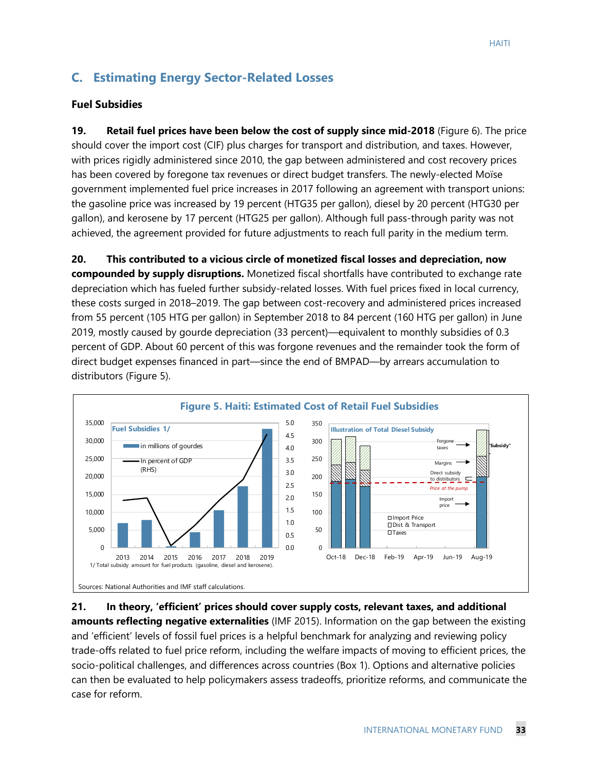# **C. Estimating Energy Sector-Related Losses**

#### **Fuel Subsidies**

**19. Retail fuel prices have been below the cost of supply since mid-2018** (Figure 6). The price should cover the import cost (CIF) plus charges for transport and distribution, and taxes. However, with prices rigidly administered since 2010, the gap between administered and cost recovery prices has been covered by foregone tax revenues or direct budget transfers. The newly-elected Moïse government implemented fuel price increases in 2017 following an agreement with transport unions: the gasoline price was increased by 19 percent (HTG35 per gallon), diesel by 20 percent (HTG30 per gallon), and kerosene by 17 percent (HTG25 per gallon). Although full pass-through parity was not achieved, the agreement provided for future adjustments to reach full parity in the medium term.

**20. This contributed to a vicious circle of monetized fiscal losses and depreciation, now compounded by supply disruptions.** Monetized fiscal shortfalls have contributed to exchange rate depreciation which has fueled further subsidy-related losses. With fuel prices fixed in local currency, these costs surged in 2018–2019. The gap between cost-recovery and administered prices increased from 55 percent (105 HTG per gallon) in September 2018 to 84 percent (160 HTG per gallon) in June 2019, mostly caused by gourde depreciation (33 percent)—equivalent to monthly subsidies of 0.3 percent of GDP. About 60 percent of this was forgone revenues and the remainder took the form of direct budget expenses financed in part—since the end of BMPAD—by arrears accumulation to distributors (Figure 5).



**21. In theory, 'efficient' prices should cover supply costs, relevant taxes, and additional amounts reflecting negative externalities** (IMF 2015). Information on the gap between the existing and 'efficient' levels of fossil fuel prices is a helpful benchmark for analyzing and reviewing policy trade-offs related to fuel price reform, including the welfare impacts of moving to efficient prices, the socio-political challenges, and differences across countries (Box 1). Options and alternative policies can then be evaluated to help policymakers assess tradeoffs, prioritize reforms, and communicate the case for reform.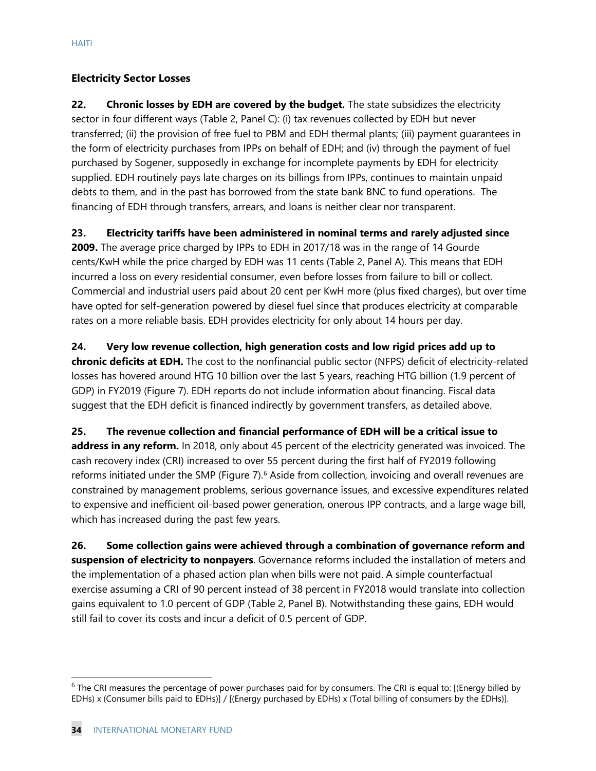#### **Electricity Sector Losses**

**22. Chronic losses by EDH are covered by the budget.** The state subsidizes the electricity sector in four different ways (Table 2, Panel C): (i) tax revenues collected by EDH but never transferred; (ii) the provision of free fuel to PBM and EDH thermal plants; (iii) payment guarantees in the form of electricity purchases from IPPs on behalf of EDH; and (iv) through the payment of fuel purchased by Sogener, supposedly in exchange for incomplete payments by EDH for electricity supplied. EDH routinely pays late charges on its billings from IPPs, continues to maintain unpaid debts to them, and in the past has borrowed from the state bank BNC to fund operations. The financing of EDH through transfers, arrears, and loans is neither clear nor transparent.

**23. Electricity tariffs have been administered in nominal terms and rarely adjusted since** 

**2009.** The average price charged by IPPs to EDH in 2017/18 was in the range of 14 Gourde cents/KwH while the price charged by EDH was 11 cents (Table 2, Panel A). This means that EDH incurred a loss on every residential consumer, even before losses from failure to bill or collect. Commercial and industrial users paid about 20 cent per KwH more (plus fixed charges), but over time have opted for self-generation powered by diesel fuel since that produces electricity at comparable rates on a more reliable basis. EDH provides electricity for only about 14 hours per day.

**24. Very low revenue collection, high generation costs and low rigid prices add up to chronic deficits at EDH.** The cost to the nonfinancial public sector (NFPS) deficit of electricity-related losses has hovered around HTG 10 billion over the last 5 years, reaching HTG billion (1.9 percent of GDP) in FY2019 (Figure 7). EDH reports do not include information about financing. Fiscal data suggest that the EDH deficit is financed indirectly by government transfers, as detailed above.

**25. The revenue collection and financial performance of EDH will be a critical issue to address in any reform.** In 2018, only about 45 percent of the electricity generated was invoiced. The cash recovery index (CRI) increased to over 55 percent during the first half of FY2019 following reforms initiated under the SMP (Figure 7).<sup>[6](#page-34-0)</sup> Aside from collection, invoicing and overall revenues are constrained by management problems, serious governance issues, and excessive expenditures related to expensive and inefficient oil-based power generation, onerous IPP contracts, and a large wage bill, which has increased during the past few years.

**26. Some collection gains were achieved through a combination of governance reform and suspension of electricity to nonpayers**. Governance reforms included the installation of meters and the implementation of a phased action plan when bills were not paid. A simple counterfactual exercise assuming a CRI of 90 percent instead of 38 percent in FY2018 would translate into collection gains equivalent to 1.0 percent of GDP (Table 2, Panel B). Notwithstanding these gains, EDH would still fail to cover its costs and incur a deficit of 0.5 percent of GDP.

<span id="page-34-0"></span> $6$  The CRI measures the percentage of power purchases paid for by consumers. The CRI is equal to: [(Energy billed by EDHs) x (Consumer bills paid to EDHs)] / [(Energy purchased by EDHs) x (Total billing of consumers by the EDHs)].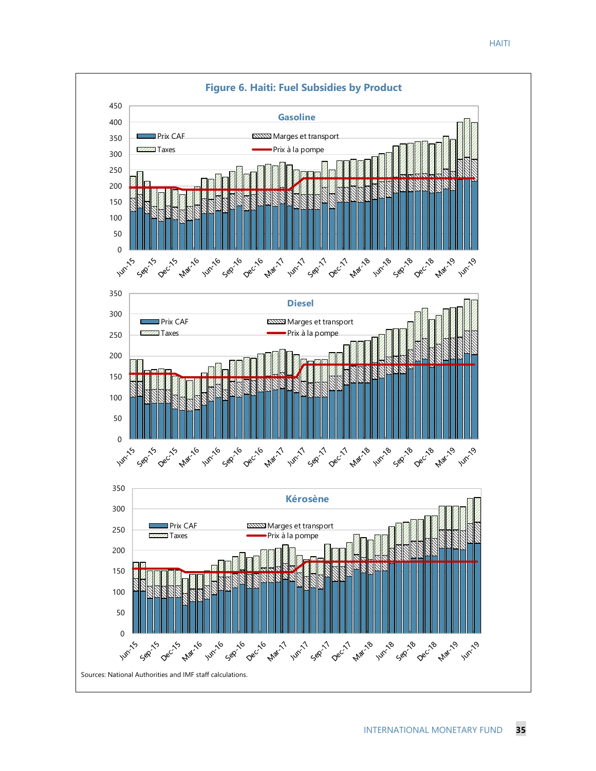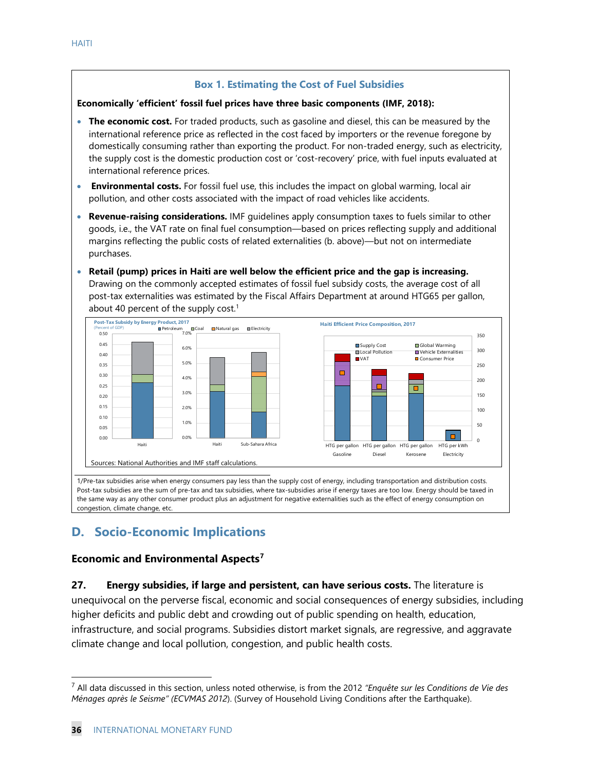#### **Box 1. Estimating the Cost of Fuel Subsidies**

#### **Economically 'efficient' fossil fuel prices have three basic components (IMF, 2018):**

- **The economic cost.** For traded products, such as gasoline and diesel, this can be measured by the international reference price as reflected in the cost faced by importers or the revenue foregone by domestically consuming rather than exporting the product. For non-traded energy, such as electricity, the supply cost is the domestic production cost or 'cost-recovery' price, with fuel inputs evaluated at international reference prices.
- **Environmental costs.** For fossil fuel use, this includes the impact on global warming, local air pollution, and other costs associated with the impact of road vehicles like accidents.
- **Revenue-raising considerations.** IMF guidelines apply consumption taxes to fuels similar to other goods, i.e., the VAT rate on final fuel consumption—based on prices reflecting supply and additional margins reflecting the public costs of related externalities (b. above)—but not on intermediate purchases.
- **Retail (pump) prices in Haiti are well below the efficient price and the gap is increasing.**  Drawing on the commonly accepted estimates of fossil fuel subsidy costs, the average cost of all post-tax externalities was estimated by the Fiscal Affairs Department at around HTG65 per gallon, about 40 percent of the supply cost.<sup>1</sup>



Post-tax subsidies are the sum of pre-tax and tax subsidies, where tax-subsidies arise if energy taxes are too low. Energy should be taxed in the same way as any other consumer product plus an adjustment for negative externalities such as the effect of energy consumption on congestion, climate change, etc.

# **D. Socio-Economic Implications**

#### **Economic and Environmental Aspects[7](#page-36-0)**

**27. Energy subsidies, if large and persistent, can have serious costs.** The literature is unequivocal on the perverse fiscal, economic and social consequences of energy subsidies, including higher deficits and public debt and crowding out of public spending on health, education, infrastructure, and social programs. Subsidies distort market signals, are regressive, and aggravate climate change and local pollution, congestion, and public health costs.

<span id="page-36-0"></span><sup>7</sup> All data discussed in this section, unless noted otherwise, is from the 2012 *"Enquête sur les Conditions de Vie des Ménages après le Seisme" (ECVMAS 2012*). (Survey of Household Living Conditions after the Earthquake).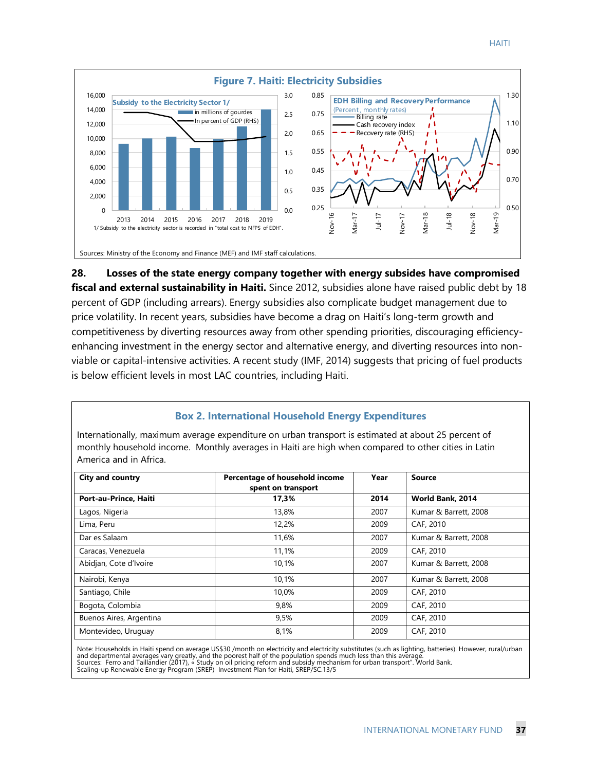



**28. Losses of the state energy company together with energy subsides have compromised fiscal and external sustainability in Haiti.** Since 2012, subsidies alone have raised public debt by 18 percent of GDP (including arrears). Energy subsidies also complicate budget management due to price volatility. In recent years, subsidies have become a drag on Haiti's long-term growth and competitiveness by diverting resources away from other spending priorities, discouraging efficiencyenhancing investment in the energy sector and alternative energy, and diverting resources into nonviable or capital-intensive activities. A recent study (IMF, 2014) suggests that pricing of fuel products is below efficient levels in most LAC countries, including Haiti.

#### **Box 2. International Household Energy Expenditures**

Internationally, maximum average expenditure on urban transport is estimated at about 25 percent of monthly household income. Monthly averages in Haiti are high when compared to other cities in Latin America and in Africa.

| <b>City and country</b> | Percentage of household income<br>spent on transport | Year | Source                |  |
|-------------------------|------------------------------------------------------|------|-----------------------|--|
| Port-au-Prince, Haiti   | 17,3%                                                | 2014 | World Bank, 2014      |  |
| Lagos, Nigeria          | 13,8%                                                | 2007 | Kumar & Barrett, 2008 |  |
| Lima, Peru              | 12,2%                                                | 2009 | CAF, 2010             |  |
| Dar es Salaam           | 11,6%                                                | 2007 | Kumar & Barrett, 2008 |  |
| Caracas, Venezuela      | 11,1%                                                | 2009 | CAF, 2010             |  |
| Abidjan, Cote d'Ivoire  | 10,1%                                                | 2007 | Kumar & Barrett, 2008 |  |
| Nairobi, Kenya          | 10.1%                                                | 2007 | Kumar & Barrett, 2008 |  |
| Santiago, Chile         | 10.0%                                                | 2009 | CAF, 2010             |  |
| Bogota, Colombia        | 9.8%                                                 | 2009 | CAF, 2010             |  |
| Buenos Aires, Argentina | 9,5%                                                 | 2009 | CAF, 2010             |  |
| Montevideo, Uruguay     | 8,1%                                                 | 2009 | CAF, 2010             |  |

Note: Households in Haiti spend on average US\$30 /month on electricity and electricity substitutes (such as lighting, batteries). However, rural/urban<br>and departmental averages vary greatly, and the poorest half of the pop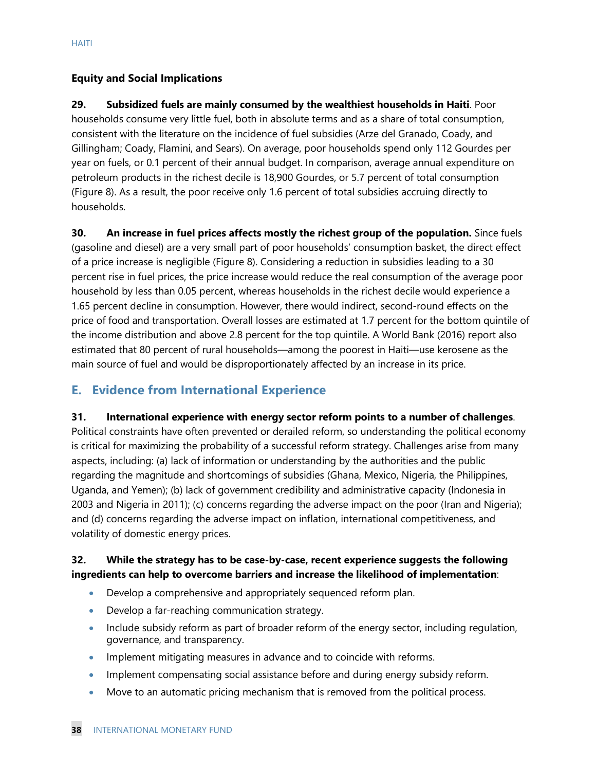#### **Equity and Social Implications**

**29. Subsidized fuels are mainly consumed by the wealthiest households in Haiti**. Poor households consume very little fuel, both in absolute terms and as a share of total consumption, consistent with the literature on the incidence of fuel subsidies (Arze del Granado, Coady, and Gillingham; Coady, Flamini, and Sears). On average, poor households spend only 112 Gourdes per year on fuels, or 0.1 percent of their annual budget. In comparison, average annual expenditure on petroleum products in the richest decile is 18,900 Gourdes, or 5.7 percent of total consumption (Figure 8). As a result, the poor receive only 1.6 percent of total subsidies accruing directly to households.

**30. An increase in fuel prices affects mostly the richest group of the population.** Since fuels (gasoline and diesel) are a very small part of poor households' consumption basket, the direct effect of a price increase is negligible (Figure 8). Considering a reduction in subsidies leading to a 30 percent rise in fuel prices, the price increase would reduce the real consumption of the average poor household by less than 0.05 percent, whereas households in the richest decile would experience a 1.65 percent decline in consumption. However, there would indirect, second-round effects on the price of food and transportation. Overall losses are estimated at 1.7 percent for the bottom quintile of the income distribution and above 2.8 percent for the top quintile. A World Bank (2016) report also estimated that 80 percent of rural households—among the poorest in Haiti—use kerosene as the main source of fuel and would be disproportionately affected by an increase in its price.

## **E. Evidence from International Experience**

# **31. International experience with energy sector reform points to a number of challenges**. Political constraints have often prevented or derailed reform, so understanding the political economy is critical for maximizing the probability of a successful reform strategy. Challenges arise from many aspects, including: (a) lack of information or understanding by the authorities and the public regarding the magnitude and shortcomings of subsidies (Ghana, Mexico, Nigeria, the Philippines,

Uganda, and Yemen); (b) lack of government credibility and administrative capacity (Indonesia in 2003 and Nigeria in 2011); (c) concerns regarding the adverse impact on the poor (Iran and Nigeria); and (d) concerns regarding the adverse impact on inflation, international competitiveness, and volatility of domestic energy prices.

#### **32. While the strategy has to be case-by-case, recent experience suggests the following ingredients can help to overcome barriers and increase the likelihood of implementation**:

- Develop a comprehensive and appropriately sequenced reform plan.
- Develop a far-reaching communication strategy.
- Include subsidy reform as part of broader reform of the energy sector, including regulation, governance, and transparency.
- Implement mitigating measures in advance and to coincide with reforms.
- Implement compensating social assistance before and during energy subsidy reform.
- Move to an automatic pricing mechanism that is removed from the political process.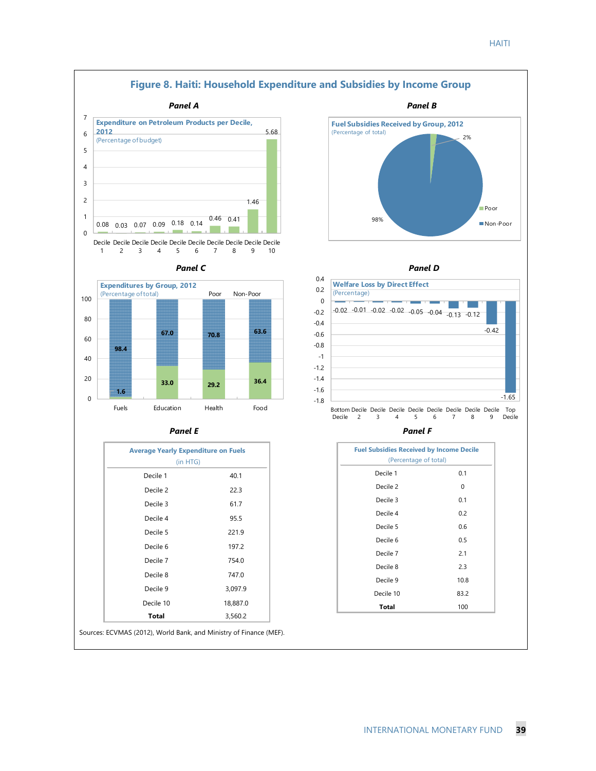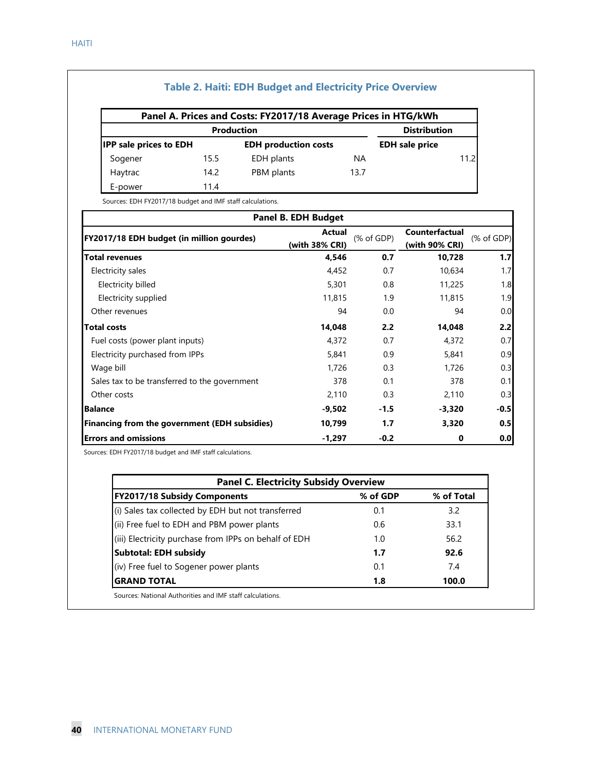#### **Table 2. Haiti: EDH Budget and Electricity Price Overview**

|                               |      | Panel A. Prices and Costs: FY2017/18 Average Prices in HTG/kWh |           |                       |       |
|-------------------------------|------|----------------------------------------------------------------|-----------|-----------------------|-------|
|                               |      | <b>Production</b>                                              |           | <b>Distribution</b>   |       |
| <b>IPP</b> sale prices to EDH |      | <b>EDH</b> production costs                                    |           | <b>EDH</b> sale price |       |
| Sogener                       | 15.5 | EDH plants                                                     | <b>NA</b> |                       | 11.21 |
| Haytrac                       | 14.2 | PBM plants                                                     | 13.7      |                       |       |
| E-power                       | 11.4 |                                                                |           |                       |       |

Sources: EDH FY2017/18 budget and IMF staff calculations.

| <b>Panel B. EDH Budget</b>                    |                          |              |                                  |                                  |  |  |
|-----------------------------------------------|--------------------------|--------------|----------------------------------|----------------------------------|--|--|
| FY2017/18 EDH budget (in million gourdes)     | Actual<br>(with 38% CRI) | $(%$ of GDP) | Counterfactual<br>(with 90% CRI) | $(% \mathcal{L}_{0})$ (% of GDP) |  |  |
| <b>Total revenues</b>                         | 4,546                    | 0.7          | 10,728                           | 1.7                              |  |  |
| Electricity sales                             | 4,452                    | 0.7          | 10,634                           | 1.7                              |  |  |
| Electricity billed                            | 5,301                    | 0.8          | 11,225                           | 1.8                              |  |  |
| Electricity supplied                          | 11,815                   | 1.9          | 11,815                           | 1.9                              |  |  |
| Other revenues                                | 94                       | 0.0          | 94                               | 0.0                              |  |  |
| <b>Total costs</b>                            | 14,048                   | 2.2          | 14,048                           | 2.2                              |  |  |
| Fuel costs (power plant inputs)               | 4,372                    | 0.7          | 4,372                            | 0.7                              |  |  |
| Electricity purchased from IPPs               | 5,841                    | 0.9          | 5,841                            | 0.9                              |  |  |
| Wage bill                                     | 1,726                    | 0.3          | 1,726                            | 0.3                              |  |  |
| Sales tax to be transferred to the government | 378                      | 0.1          | 378                              | 0.1                              |  |  |
| Other costs                                   | 2,110                    | 0.3          | 2,110                            | 0.3                              |  |  |
| <b>Balance</b>                                | -9,502                   | $-1.5$       | -3,320                           | $-0.5$                           |  |  |
| Financing from the government (EDH subsidies) | 10,799                   | 1.7          | 3,320                            | 0.5                              |  |  |
| <b>Errors and omissions</b>                   | -1,297                   | $-0.2$       | 0                                | 0.0                              |  |  |

Sources: EDH FY2017/18 budget and IMF staff calculations.

| <b>Panel C. Electricity Subsidy Overview</b>          |          |            |
|-------------------------------------------------------|----------|------------|
| FY2017/18 Subsidy Components                          | % of GDP | % of Total |
| (i) Sales tax collected by EDH but not transferred    | 0.1      | 3.2        |
| (ii) Free fuel to EDH and PBM power plants            | 0.6      | 33.1       |
| (iii) Electricity purchase from IPPs on behalf of EDH | 1.0      | 56.2       |
| <b>Subtotal: EDH subsidy</b>                          | 1.7      | 92.6       |
| (iv) Free fuel to Sogener power plants                | 0.1      | 74         |
| <b>GRAND TOTAL</b>                                    | 1.8      | 100.0      |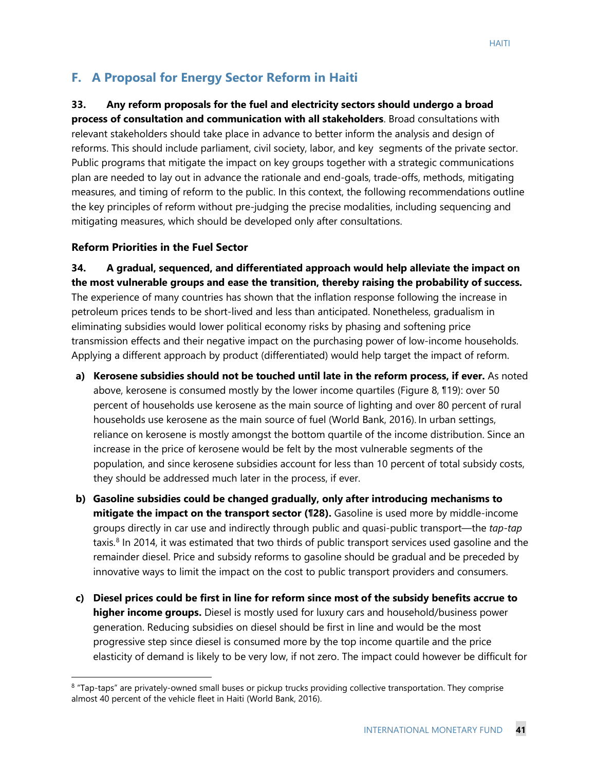## **F. A Proposal for Energy Sector Reform in Haiti**

#### **33. Any reform proposals for the fuel and electricity sectors should undergo a broad**

**process of consultation and communication with all stakeholders**. Broad consultations with relevant stakeholders should take place in advance to better inform the analysis and design of reforms. This should include parliament, civil society, labor, and key segments of the private sector. Public programs that mitigate the impact on key groups together with a strategic communications plan are needed to lay out in advance the rationale and end-goals, trade-offs, methods, mitigating measures, and timing of reform to the public. In this context, the following recommendations outline the key principles of reform without pre-judging the precise modalities, including sequencing and mitigating measures, which should be developed only after consultations.

#### **Reform Priorities in the Fuel Sector**

**34. A gradual, sequenced, and differentiated approach would help alleviate the impact on the most vulnerable groups and ease the transition, thereby raising the probability of success.** The experience of many countries has shown that the inflation response following the increase in petroleum prices tends to be short-lived and less than anticipated. Nonetheless, gradualism in eliminating subsidies would lower political economy risks by phasing and softening price transmission effects and their negative impact on the purchasing power of low-income households. Applying a different approach by product (differentiated) would help target the impact of reform.

- **a) Kerosene subsidies should not be touched until late in the reform process, if ever.** As noted above, kerosene is consumed mostly by the lower income quartiles (Figure 8, ¶19): over 50 percent of households use kerosene as the main source of lighting and over 80 percent of rural households use kerosene as the main source of fuel (World Bank, 2016). In urban settings, reliance on kerosene is mostly amongst the bottom quartile of the income distribution. Since an increase in the price of kerosene would be felt by the most vulnerable segments of the population, and since kerosene subsidies account for less than 10 percent of total subsidy costs, they should be addressed much later in the process, if ever.
- **b) Gasoline subsidies could be changed gradually, only after introducing mechanisms to mitigate the impact on the transport sector (¶28).** Gasoline is used more by middle-income groups directly in car use and indirectly through public and quasi-public transport—the *tap-tap* taxis. $8$  In 2014, it was estimated that two thirds of public transport services used gasoline and the remainder diesel. Price and subsidy reforms to gasoline should be gradual and be preceded by innovative ways to limit the impact on the cost to public transport providers and consumers.
- **c) Diesel prices could be first in line for reform since most of the subsidy benefits accrue to higher income groups.** Diesel is mostly used for luxury cars and household/business power generation. Reducing subsidies on diesel should be first in line and would be the most progressive step since diesel is consumed more by the top income quartile and the price elasticity of demand is likely to be very low, if not zero. The impact could however be difficult for

<span id="page-41-0"></span><sup>&</sup>lt;sup>8</sup> "Tap-taps" are privately-owned small buses or pickup trucks providing collective transportation. They comprise almost 40 percent of the vehicle fleet in Haiti (World Bank, 2016).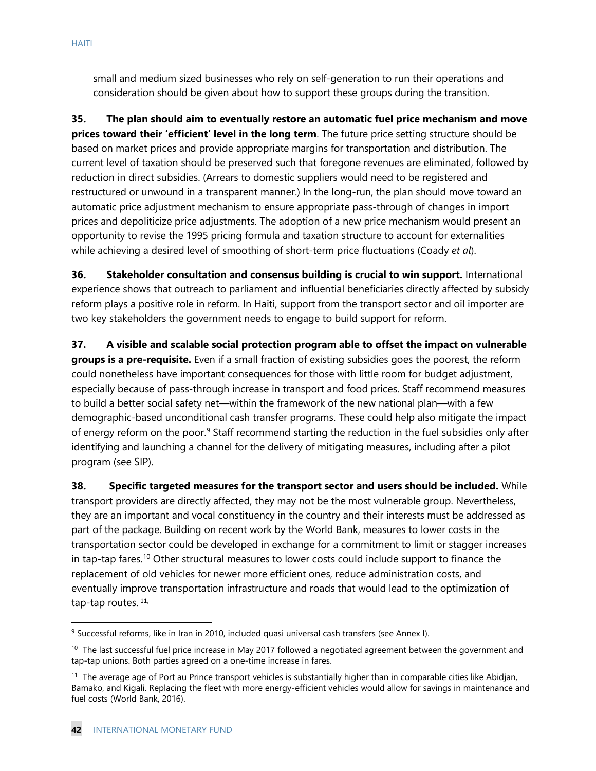small and medium sized businesses who rely on self-generation to run their operations and consideration should be given about how to support these groups during the transition.

**35. The plan should aim to eventually restore an automatic fuel price mechanism and move prices toward their 'efficient' level in the long term**. The future price setting structure should be based on market prices and provide appropriate margins for transportation and distribution. The current level of taxation should be preserved such that foregone revenues are eliminated, followed by reduction in direct subsidies. (Arrears to domestic suppliers would need to be registered and restructured or unwound in a transparent manner.) In the long-run, the plan should move toward an automatic price adjustment mechanism to ensure appropriate pass-through of changes in import prices and depoliticize price adjustments. The adoption of a new price mechanism would present an opportunity to revise the 1995 pricing formula and taxation structure to account for externalities while achieving a desired level of smoothing of short-term price fluctuations (Coady *et al*).

**36.** Stakeholder consultation and consensus building is crucial to win support. International experience shows that outreach to parliament and influential beneficiaries directly affected by subsidy reform plays a positive role in reform. In Haiti, support from the transport sector and oil importer are two key stakeholders the government needs to engage to build support for reform.

**37. A visible and scalable social protection program able to offset the impact on vulnerable groups is a pre-requisite.** Even if a small fraction of existing subsidies goes the poorest, the reform could nonetheless have important consequences for those with little room for budget adjustment, especially because of pass-through increase in transport and food prices. Staff recommend measures to build a better social safety net—within the framework of the new national plan—with a few demographic-based unconditional cash transfer programs. These could help also mitigate the impact of energy reform on the poor.<sup>9</sup> Staff recommend starting the reduction in the fuel subsidies only after identifying and launching a channel for the delivery of mitigating measures, including after a pilot program (see SIP).

**38. Specific targeted measures for the transport sector and users should be included.** While transport providers are directly affected, they may not be the most vulnerable group. Nevertheless, they are an important and vocal constituency in the country and their interests must be addressed as part of the package. Building on recent work by the World Bank, measures to lower costs in the transportation sector could be developed in exchange for a commitment to limit or stagger increases in tap-tap fares.<sup>[10](#page-42-1)</sup> Other structural measures to lower costs could include support to finance the replacement of old vehicles for newer more efficient ones, reduce administration costs, and eventually improve transportation infrastructure and roads that would lead to the optimization of tap-tap routes. [11](#page-42-2),

<span id="page-42-0"></span><sup>&</sup>lt;sup>9</sup> Successful reforms, like in Iran in 2010, included quasi universal cash transfers (see Annex I).

<span id="page-42-1"></span> $10$  The last successful fuel price increase in May 2017 followed a negotiated agreement between the government and tap-tap unions. Both parties agreed on a one-time increase in fares.

<span id="page-42-2"></span> $11$  The average age of Port au Prince transport vehicles is substantially higher than in comparable cities like Abidjan, Bamako, and Kigali. Replacing the fleet with more energy-efficient vehicles would allow for savings in maintenance and fuel costs (World Bank, 2016).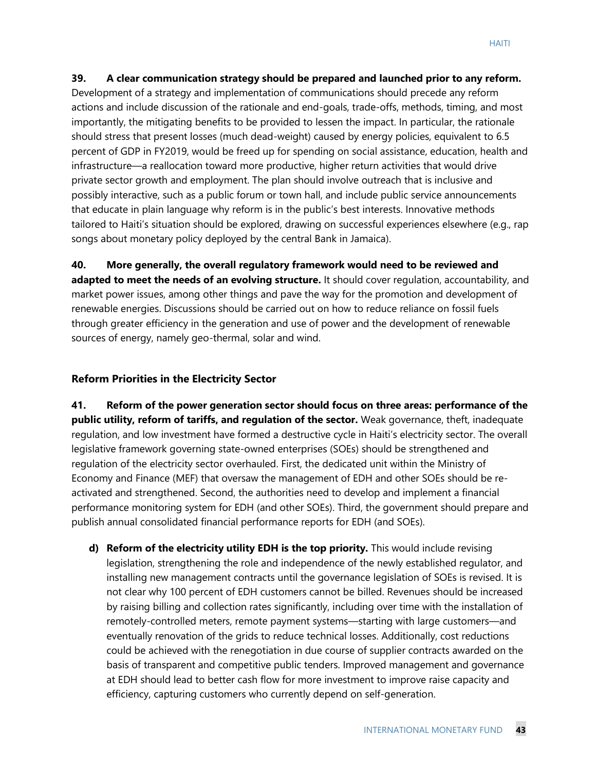#### **39. A clear communication strategy should be prepared and launched prior to any reform.**

Development of a strategy and implementation of communications should precede any reform actions and include discussion of the rationale and end-goals, trade-offs, methods, timing, and most importantly, the mitigating benefits to be provided to lessen the impact. In particular, the rationale should stress that present losses (much dead-weight) caused by energy policies, equivalent to 6.5 percent of GDP in FY2019, would be freed up for spending on social assistance, education, health and infrastructure—a reallocation toward more productive, higher return activities that would drive private sector growth and employment. The plan should involve outreach that is inclusive and possibly interactive, such as a public forum or town hall, and include public service announcements that educate in plain language why reform is in the public's best interests. Innovative methods tailored to Haiti's situation should be explored, drawing on successful experiences elsewhere (e.g., rap songs about monetary policy deployed by the central Bank in Jamaica).

**40. More generally, the overall regulatory framework would need to be reviewed and adapted to meet the needs of an evolving structure.** It should cover regulation, accountability, and market power issues, among other things and pave the way for the promotion and development of renewable energies. Discussions should be carried out on how to reduce reliance on fossil fuels through greater efficiency in the generation and use of power and the development of renewable sources of energy, namely geo-thermal, solar and wind.

#### **Reform Priorities in the Electricity Sector**

**41. Reform of the power generation sector should focus on three areas: performance of the public utility, reform of tariffs, and regulation of the sector.** Weak governance, theft, inadequate regulation, and low investment have formed a destructive cycle in Haiti's electricity sector. The overall legislative framework governing state-owned enterprises (SOEs) should be strengthened and regulation of the electricity sector overhauled. First, the dedicated unit within the Ministry of Economy and Finance (MEF) that oversaw the management of EDH and other SOEs should be reactivated and strengthened. Second, the authorities need to develop and implement a financial performance monitoring system for EDH (and other SOEs). Third, the government should prepare and publish annual consolidated financial performance reports for EDH (and SOEs).

**d) Reform of the electricity utility EDH is the top priority.** This would include revising legislation, strengthening the role and independence of the newly established regulator, and installing new management contracts until the governance legislation of SOEs is revised. It is not clear why 100 percent of EDH customers cannot be billed. Revenues should be increased by raising billing and collection rates significantly, including over time with the installation of remotely-controlled meters, remote payment systems—starting with large customers—and eventually renovation of the grids to reduce technical losses. Additionally, cost reductions could be achieved with the renegotiation in due course of supplier contracts awarded on the basis of transparent and competitive public tenders. Improved management and governance at EDH should lead to better cash flow for more investment to improve raise capacity and efficiency, capturing customers who currently depend on self-generation.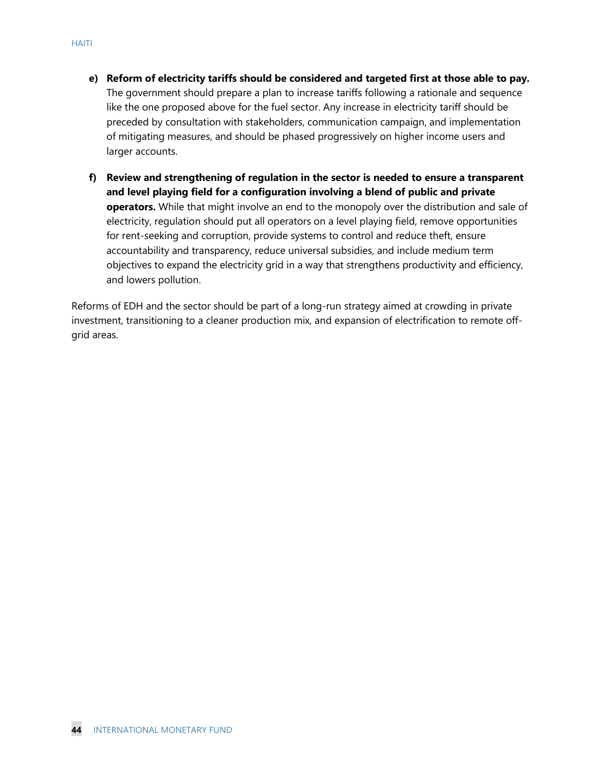- **e) Reform of electricity tariffs should be considered and targeted first at those able to pay.** The government should prepare a plan to increase tariffs following a rationale and sequence like the one proposed above for the fuel sector. Any increase in electricity tariff should be preceded by consultation with stakeholders, communication campaign, and implementation of mitigating measures, and should be phased progressively on higher income users and larger accounts.
- **f) Review and strengthening of regulation in the sector is needed to ensure a transparent and level playing field for a configuration involving a blend of public and private operators.** While that might involve an end to the monopoly over the distribution and sale of electricity, regulation should put all operators on a level playing field, remove opportunities for rent-seeking and corruption, provide systems to control and reduce theft, ensure accountability and transparency, reduce universal subsidies, and include medium term objectives to expand the electricity grid in a way that strengthens productivity and efficiency, and lowers pollution.

Reforms of EDH and the sector should be part of a long-run strategy aimed at crowding in private investment, transitioning to a cleaner production mix, and expansion of electrification to remote offgrid areas.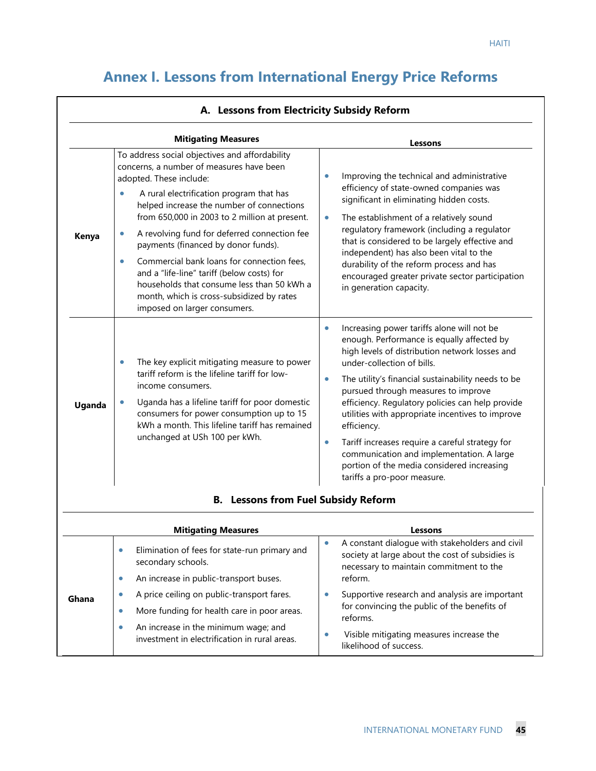٦

# **Annex I. Lessons from International Energy Price Reforms**

|        | <b>Mitigating Measures</b>                                                                                                                                                                                                                                                                                                                                                                                                                                                                                                                                                                                           | Lessons                                                                                                                                                                                                                                                                                                                                                                                                                                                                                                                                                                                                          |
|--------|----------------------------------------------------------------------------------------------------------------------------------------------------------------------------------------------------------------------------------------------------------------------------------------------------------------------------------------------------------------------------------------------------------------------------------------------------------------------------------------------------------------------------------------------------------------------------------------------------------------------|------------------------------------------------------------------------------------------------------------------------------------------------------------------------------------------------------------------------------------------------------------------------------------------------------------------------------------------------------------------------------------------------------------------------------------------------------------------------------------------------------------------------------------------------------------------------------------------------------------------|
| Kenya  | To address social objectives and affordability<br>concerns, a number of measures have been<br>adopted. These include:<br>A rural electrification program that has<br>$\bullet$<br>helped increase the number of connections<br>from 650,000 in 2003 to 2 million at present.<br>A revolving fund for deferred connection fee<br>$\bullet$<br>payments (financed by donor funds).<br>Commercial bank loans for connection fees,<br>$\bullet$<br>and a "life-line" tariff (below costs) for<br>households that consume less than 50 kWh a<br>month, which is cross-subsidized by rates<br>imposed on larger consumers. | Improving the technical and administrative<br>$\bullet$<br>efficiency of state-owned companies was<br>significant in eliminating hidden costs.<br>The establishment of a relatively sound<br>$\bullet$<br>regulatory framework (including a regulator<br>that is considered to be largely effective and<br>independent) has also been vital to the<br>durability of the reform process and has<br>encouraged greater private sector participation<br>in generation capacity.                                                                                                                                     |
| Uganda | The key explicit mitigating measure to power<br>$\bullet$<br>tariff reform is the lifeline tariff for low-<br>income consumers.<br>Uganda has a lifeline tariff for poor domestic<br>consumers for power consumption up to 15<br>kWh a month. This lifeline tariff has remained<br>unchanged at USh 100 per kWh.                                                                                                                                                                                                                                                                                                     | Increasing power tariffs alone will not be<br>$\bullet$<br>enough. Performance is equally affected by<br>high levels of distribution network losses and<br>under-collection of bills.<br>The utility's financial sustainability needs to be<br>$\bullet$<br>pursued through measures to improve<br>efficiency. Regulatory policies can help provide<br>utilities with appropriate incentives to improve<br>efficiency.<br>Tariff increases require a careful strategy for<br>$\bullet$<br>communication and implementation. A large<br>portion of the media considered increasing<br>tariffs a pro-poor measure. |

|  | A. Lessons from Electricity Subsidy Reform |  |
|--|--------------------------------------------|--|
|  |                                            |  |

 $\Gamma$ 

|       | <b>Mitigating Measures</b>                                                                 | Lessons                                                                                                                                       |
|-------|--------------------------------------------------------------------------------------------|-----------------------------------------------------------------------------------------------------------------------------------------------|
| Ghana | Elimination of fees for state-run primary and<br>$\bullet$<br>secondary schools.           | A constant dialogue with stakeholders and civil<br>society at large about the cost of subsidies is<br>necessary to maintain commitment to the |
|       | An increase in public-transport buses.<br>о                                                | reform.                                                                                                                                       |
|       | A price ceiling on public-transport fares.                                                 | Supportive research and analysis are important                                                                                                |
|       | More funding for health care in poor areas.<br>۰                                           | for convincing the public of the benefits of<br>reforms.                                                                                      |
|       | An increase in the minimum wage; and<br>۰<br>investment in electrification in rural areas. | Visible mitigating measures increase the<br>likelihood of success.                                                                            |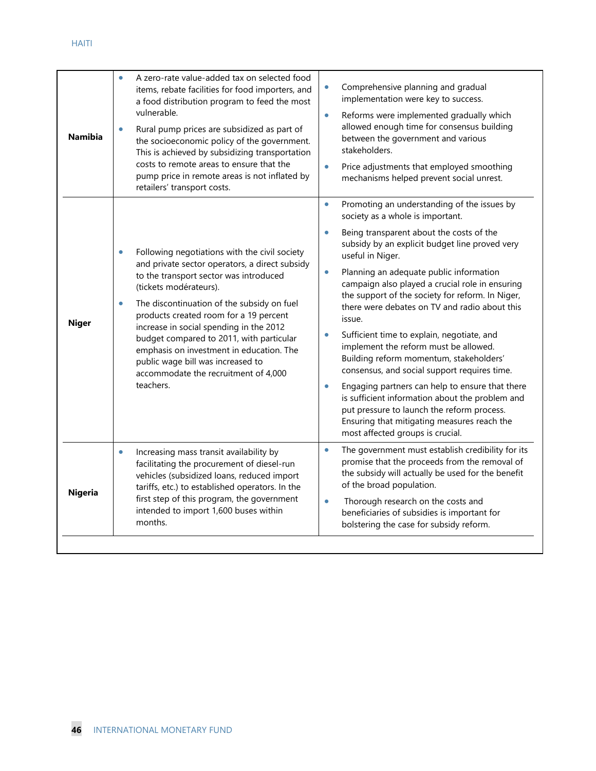| <b>Namibia</b> | A zero-rate value-added tax on selected food<br>$\bullet$<br>items, rebate facilities for food importers, and<br>a food distribution program to feed the most<br>vulnerable.<br>Rural pump prices are subsidized as part of<br>$\bullet$<br>the socioeconomic policy of the government.<br>This is achieved by subsidizing transportation<br>costs to remote areas to ensure that the<br>pump price in remote areas is not inflated by<br>retailers' transport costs.                                 | Comprehensive planning and gradual<br>$\bullet$<br>implementation were key to success.<br>Reforms were implemented gradually which<br>$\bullet$<br>allowed enough time for consensus building<br>between the government and various<br>stakeholders.<br>Price adjustments that employed smoothing<br>$\bullet$<br>mechanisms helped prevent social unrest.                                                                                                                                                                                                                                                                                                                                                                                                                                                                                                                                  |
|----------------|-------------------------------------------------------------------------------------------------------------------------------------------------------------------------------------------------------------------------------------------------------------------------------------------------------------------------------------------------------------------------------------------------------------------------------------------------------------------------------------------------------|---------------------------------------------------------------------------------------------------------------------------------------------------------------------------------------------------------------------------------------------------------------------------------------------------------------------------------------------------------------------------------------------------------------------------------------------------------------------------------------------------------------------------------------------------------------------------------------------------------------------------------------------------------------------------------------------------------------------------------------------------------------------------------------------------------------------------------------------------------------------------------------------|
| <b>Niger</b>   | Following negotiations with the civil society<br>and private sector operators, a direct subsidy<br>to the transport sector was introduced<br>(tickets modérateurs).<br>The discontinuation of the subsidy on fuel<br>$\bullet$<br>products created room for a 19 percent<br>increase in social spending in the 2012<br>budget compared to 2011, with particular<br>emphasis on investment in education. The<br>public wage bill was increased to<br>accommodate the recruitment of 4,000<br>teachers. | Promoting an understanding of the issues by<br>$\bullet$<br>society as a whole is important.<br>Being transparent about the costs of the<br>$\bullet$<br>subsidy by an explicit budget line proved very<br>useful in Niger.<br>Planning an adequate public information<br>$\bullet$<br>campaign also played a crucial role in ensuring<br>the support of the society for reform. In Niger,<br>there were debates on TV and radio about this<br>issue.<br>Sufficient time to explain, negotiate, and<br>$\bullet$<br>implement the reform must be allowed.<br>Building reform momentum, stakeholders'<br>consensus, and social support requires time.<br>Engaging partners can help to ensure that there<br>is sufficient information about the problem and<br>put pressure to launch the reform process.<br>Ensuring that mitigating measures reach the<br>most affected groups is crucial. |
| <b>Nigeria</b> | Increasing mass transit availability by<br>$\bullet$<br>facilitating the procurement of diesel-run<br>vehicles (subsidized loans, reduced import<br>tariffs, etc.) to established operators. In the<br>first step of this program, the government<br>intended to import 1,600 buses within<br>months.                                                                                                                                                                                                 | The government must establish credibility for its<br>$\bullet$<br>promise that the proceeds from the removal of<br>the subsidy will actually be used for the benefit<br>of the broad population.<br>Thorough research on the costs and<br>$\bullet$<br>beneficiaries of subsidies is important for<br>bolstering the case for subsidy reform.                                                                                                                                                                                                                                                                                                                                                                                                                                                                                                                                               |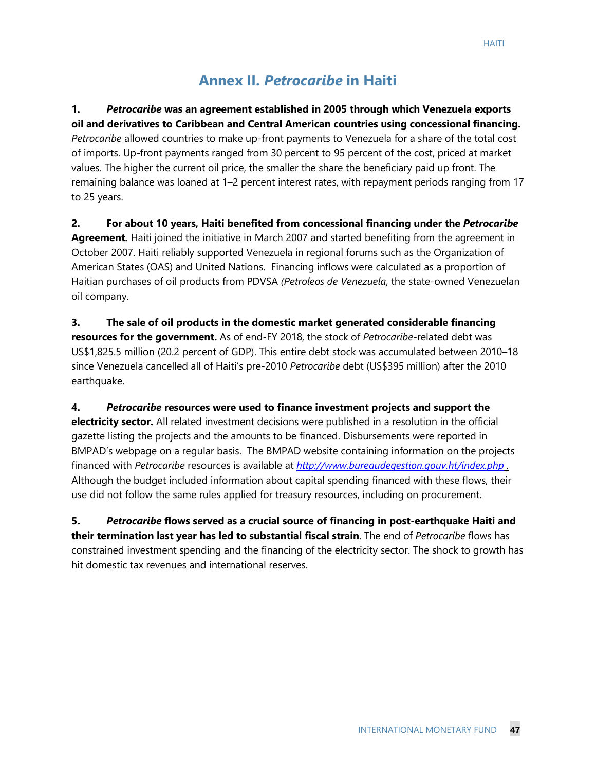# **Annex II.** *Petrocaribe* **in Haiti**

**1.** *Petrocaribe* **was an agreement established in 2005 through which Venezuela exports oil and derivatives to Caribbean and Central American countries using concessional financing.**  *Petrocaribe* allowed countries to make up-front payments to Venezuela for a share of the total cost of imports. Up-front payments ranged from 30 percent to 95 percent of the cost, priced at market values. The higher the current oil price, the smaller the share the beneficiary paid up front. The remaining balance was loaned at 1–2 percent interest rates, with repayment periods ranging from 17 to 25 years.

**2. For about 10 years, Haiti benefited from concessional financing under the** *Petrocaribe* **Agreement.** Haiti joined the initiative in March 2007 and started benefiting from the agreement in October 2007. Haiti reliably supported Venezuela in regional forums such as the Organization of American States (OAS) and United Nations. Financing inflows were calculated as a proportion of Haitian purchases of oil products from PDVSA *(Petroleos de Venezuela*, the state-owned Venezuelan oil company.

**3. The sale of oil products in the domestic market generated considerable financing resources for the government.** As of end-FY 2018, the stock of *Petrocaribe*-related debt was US\$1,825.5 million (20.2 percent of GDP). This entire debt stock was accumulated between 2010–18 since Venezuela cancelled all of Haiti's pre-2010 *Petrocaribe* debt (US\$395 million) after the 2010 earthquake.

**4.** *Petrocaribe* **resources were used to finance investment projects and support the electricity sector.** All related investment decisions were published in a resolution in the official gazette listing the projects and the amounts to be financed. Disbursements were reported in BMPAD's webpage on a regular basis. The BMPAD website containing information on the projects financed with *Petrocaribe* resources is available at *<http://www.bureaudegestion.gouv.ht/index.php> .* Although the budget included information about capital spending financed with these flows, their use did not follow the same rules applied for treasury resources, including on procurement.

**5.** *Petrocaribe* **flows served as a crucial source of financing in post-earthquake Haiti and their termination last year has led to substantial fiscal strain**. The end of *Petrocaribe* flows has constrained investment spending and the financing of the electricity sector. The shock to growth has hit domestic tax revenues and international reserves.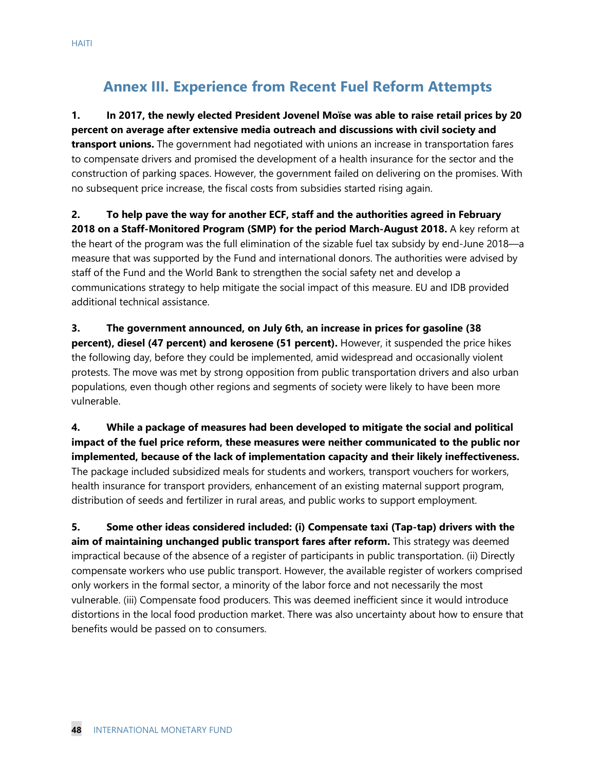# **Annex III. Experience from Recent Fuel Reform Attempts**

**1. In 2017, the newly elected President Jovenel Moïse was able to raise retail prices by 20 percent on average after extensive media outreach and discussions with civil society and transport unions.** The government had negotiated with unions an increase in transportation fares to compensate drivers and promised the development of a health insurance for the sector and the construction of parking spaces. However, the government failed on delivering on the promises. With no subsequent price increase, the fiscal costs from subsidies started rising again.

**2. To help pave the way for another ECF, staff and the authorities agreed in February 2018 on a Staff-Monitored Program (SMP) for the period March-August 2018.** A key reform at the heart of the program was the full elimination of the sizable fuel tax subsidy by end-June 2018––a measure that was supported by the Fund and international donors. The authorities were advised by staff of the Fund and the World Bank to strengthen the social safety net and develop a communications strategy to help mitigate the social impact of this measure. EU and IDB provided additional technical assistance.

**3. The government announced, on July 6th, an increase in prices for gasoline (38 percent), diesel (47 percent) and kerosene (51 percent).** However, it suspended the price hikes the following day, before they could be implemented, amid widespread and occasionally violent protests. The move was met by strong opposition from public transportation drivers and also urban populations, even though other regions and segments of society were likely to have been more vulnerable.

**4. While a package of measures had been developed to mitigate the social and political impact of the fuel price reform, these measures were neither communicated to the public nor implemented, because of the lack of implementation capacity and their likely ineffectiveness.**  The package included subsidized meals for students and workers, transport vouchers for workers, health insurance for transport providers, enhancement of an existing maternal support program, distribution of seeds and fertilizer in rural areas, and public works to support employment.

**5. Some other ideas considered included: (i) Compensate taxi (Tap-tap) drivers with the aim of maintaining unchanged public transport fares after reform.** This strategy was deemed impractical because of the absence of a register of participants in public transportation. (ii) Directly compensate workers who use public transport. However, the available register of workers comprised only workers in the formal sector, a minority of the labor force and not necessarily the most vulnerable. (iii) Compensate food producers. This was deemed inefficient since it would introduce distortions in the local food production market. There was also uncertainty about how to ensure that benefits would be passed on to consumers.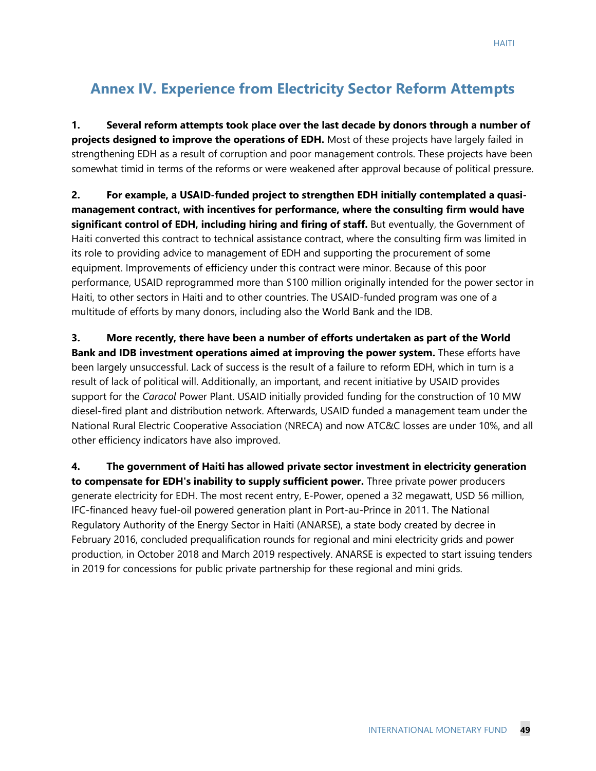# **Annex IV. Experience from Electricity Sector Reform Attempts**

**1. Several reform attempts took place over the last decade by donors through a number of projects designed to improve the operations of EDH.** Most of these projects have largely failed in strengthening EDH as a result of corruption and poor management controls. These projects have been somewhat timid in terms of the reforms or were weakened after approval because of political pressure.

**2. For example, a USAID-funded project to strengthen EDH initially contemplated a quasimanagement contract, with incentives for performance, where the consulting firm would have significant control of EDH, including hiring and firing of staff.** But eventually, the Government of Haiti converted this contract to technical assistance contract, where the consulting firm was limited in its role to providing advice to management of EDH and supporting the procurement of some equipment. Improvements of efficiency under this contract were minor. Because of this poor performance, USAID reprogrammed more than \$100 million originally intended for the power sector in Haiti, to other sectors in Haiti and to other countries. The USAID-funded program was one of a multitude of efforts by many donors, including also the World Bank and the IDB.

**3. More recently, there have been a number of efforts undertaken as part of the World Bank and IDB investment operations aimed at improving the power system.** These efforts have been largely unsuccessful. Lack of success is the result of a failure to reform EDH, which in turn is a result of lack of political will. Additionally, an important, and recent initiative by USAID provides support for the *Caracol* Power Plant. USAID initially provided funding for the construction of 10 MW diesel-fired plant and distribution network. Afterwards, USAID funded a management team under the National Rural Electric Cooperative Association (NRECA) and now ATC&C losses are under 10%, and all other efficiency indicators have also improved.

**4. The government of Haiti has allowed private sector investment in electricity generation to compensate for EDH's inability to supply sufficient power.** Three private power producers generate electricity for EDH. The most recent entry, E-Power, opened a 32 megawatt, USD 56 million, IFC-financed heavy fuel-oil powered generation plant in Port-au-Prince in 2011. The National Regulatory Authority of the Energy Sector in Haiti (ANARSE), a state body created by decree in February 2016, concluded prequalification rounds for regional and mini electricity grids and power production, in October 2018 and March 2019 respectively. ANARSE is expected to start issuing tenders in 2019 for concessions for public private partnership for these regional and mini grids.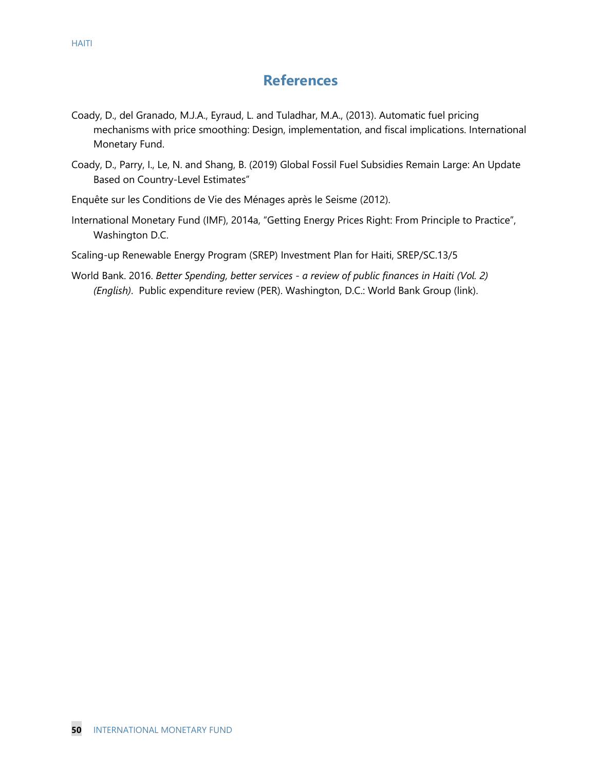# **References**

- Coady, D., del Granado, M.J.A., Eyraud, L. and Tuladhar, M.A., (2013). Automatic fuel pricing mechanisms with price smoothing: Design, implementation, and fiscal implications. International Monetary Fund.
- Coady, D., Parry, I., Le, N. and Shang, B. (2019) Global Fossil Fuel Subsidies Remain Large: An Update Based on Country-Level Estimates"
- Enquête sur les Conditions de Vie des Ménages après le Seisme (2012).
- International Monetary Fund (IMF), 2014a, "Getting Energy Prices Right: From Principle to Practice", Washington D.C.
- Scaling-up Renewable Energy Program (SREP) Investment Plan for Haiti, SREP/SC.13/5
- [World Bank. 2016.](http://documents.banquemondiale.org/curated/en/964461467030596497/Better-spending-better-services-a-review-of-public-finances-in-Haiti) *Better Spending, better services - a review of public finances in Haiti (Vol. 2) (English)*[. Public expenditure review \(PER\). Washington, D.C.: World Bank Group](http://documents.banquemondiale.org/curated/en/964461467030596497/Better-spending-better-services-a-review-of-public-finances-in-Haiti) [\(link\)](http://documents.banquemondiale.org/curated/en/964461467030596497/Better-spending-better-services-a-review-of-public-finances-in-Haiti).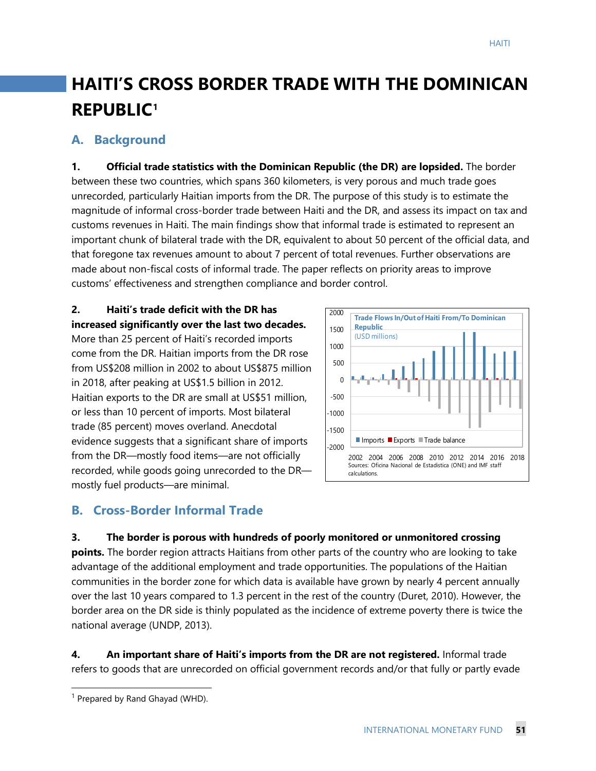# **HAITI'S CROSS BORDER TRADE WITH THE DOMINICAN REPUBLIC[1](#page-51-0)**

## **A. Background**

**1. Official trade statistics with the Dominican Republic (the DR) are lopsided.** The border between these two countries, which spans 360 kilometers, is very porous and much trade goes unrecorded, particularly Haitian imports from the DR. The purpose of this study is to estimate the magnitude of informal cross-border trade between Haiti and the DR, and assess its impact on tax and customs revenues in Haiti. The main findings show that informal trade is estimated to represent an important chunk of bilateral trade with the DR, equivalent to about 50 percent of the official data, and that foregone tax revenues amount to about 7 percent of total revenues. Further observations are made about non-fiscal costs of informal trade. The paper reflects on priority areas to improve customs' effectiveness and strengthen compliance and border control.

#### **2. Haiti's trade deficit with the DR has increased significantly over the last two decades.**

More than 25 percent of Haiti's recorded imports come from the DR. Haitian imports from the DR rose from US\$208 million in 2002 to about US\$875 million in 2018, after peaking at US\$1.5 billion in 2012. Haitian exports to the DR are small at US\$51 million, or less than 10 percent of imports. Most bilateral trade (85 percent) moves overland. Anecdotal evidence suggests that a significant share of imports from the DR—mostly food items—are not officially recorded, while goods going unrecorded to the DR mostly fuel products—are minimal.



# **B. Cross-Border Informal Trade**

#### **3. The border is porous with hundreds of poorly monitored or unmonitored crossing**

**points.** The border region attracts Haitians from other parts of the country who are looking to take advantage of the additional employment and trade opportunities. The populations of the Haitian communities in the border zone for which data is available have grown by nearly 4 percent annually over the last 10 years compared to 1.3 percent in the rest of the country (Duret, 2010). However, the border area on the DR side is thinly populated as the incidence of extreme poverty there is twice the national average (UNDP, 2013).

**4. An important share of Haiti's imports from the DR are not registered.** Informal trade refers to goods that are unrecorded on official government records and/or that fully or partly evade

<span id="page-51-0"></span> $1$  Prepared by Rand Ghayad (WHD).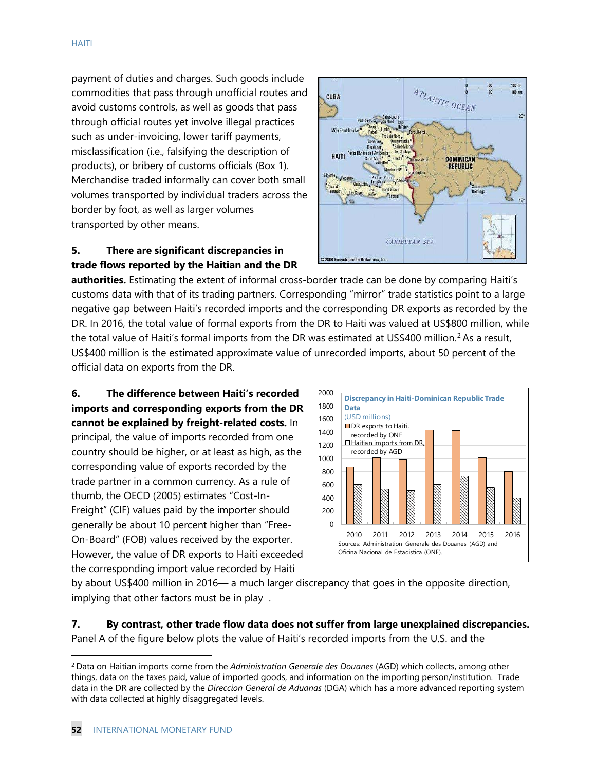payment of duties and charges. Such goods include commodities that pass through unofficial routes and avoid customs controls, as well as goods that pass through official routes yet involve illegal practices such as under-invoicing, lower tariff payments, misclassification (i.e., falsifying the description of products), or bribery of customs officials (Box 1). Merchandise traded informally can cover both small volumes transported by individual traders across the border by foot, as well as larger volumes transported by other means.

#### **5. There are significant discrepancies in trade flows reported by the Haitian and the DR**



**authorities.** Estimating the extent of informal cross-border trade can be done by comparing Haiti's customs data with that of its trading partners. Corresponding "mirror" trade statistics point to a large negative gap between Haiti's recorded imports and the corresponding DR exports as recorded by the DR. In 2016, the total value of formal exports from the DR to Haiti was valued at US\$800 million, while the total value of Haiti's formal imports from the DR was estimated at US\$400 million.<sup>[2](#page-52-0)</sup> As a result, US\$400 million is the estimated approximate value of unrecorded imports, about 50 percent of the official data on exports from the DR.

**6. The difference between Haiti's recorded imports and corresponding exports from the DR cannot be explained by freight-related costs.** In principal, the value of imports recorded from one country should be higher, or at least as high, as the corresponding value of exports recorded by the trade partner in a common currency. As a rule of thumb, the OECD (2005) estimates "Cost-In-Freight" (CIF) values paid by the importer should generally be about 10 percent higher than "Free-On-Board" (FOB) values received by the exporter. However, the value of DR exports to Haiti exceeded the corresponding import value recorded by Haiti



by about US\$400 million in 2016— a much larger discrepancy that goes in the opposite direction, implying that other factors must be in play .

**7. By contrast, other trade flow data does not suffer from large unexplained discrepancies.** Panel A of the figure below plots the value of Haiti's recorded imports from the U.S. and the

<span id="page-52-0"></span><sup>2</sup> Data on Haitian imports come from the *Administration Generale des Douanes* (AGD) which collects, among other things, data on the taxes paid, value of imported goods, and information on the importing person/institution. Trade data in the DR are collected by the *Direccion General de Aduanas* (DGA) which has a more advanced reporting system with data collected at highly disaggregated levels.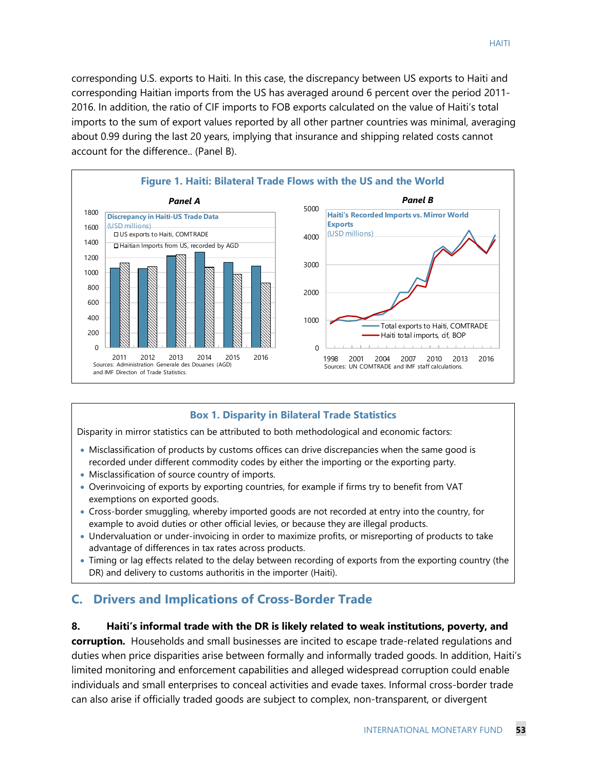corresponding U.S. exports to Haiti. In this case, the discrepancy between US exports to Haiti and corresponding Haitian imports from the US has averaged around 6 percent over the period 2011- 2016. In addition, the ratio of CIF imports to FOB exports calculated on the value of Haiti's total imports to the sum of export values reported by all other partner countries was minimal, averaging about 0.99 during the last 20 years, implying that insurance and shipping related costs cannot account for the difference.. (Panel B).



#### **Box 1. Disparity in Bilateral Trade Statistics**

Disparity in mirror statistics can be attributed to both methodological and economic factors:

- Misclassification of products by customs offices can drive discrepancies when the same good is recorded under different commodity codes by either the importing or the exporting party.
- Misclassification of source country of imports.
- Overinvoicing of exports by exporting countries, for example if firms try to benefit from VAT exemptions on exported goods.
- Cross-border smuggling, whereby imported goods are not recorded at entry into the country, for example to avoid duties or other official levies, or because they are illegal products.
- Undervaluation or under-invoicing in order to maximize profits, or misreporting of products to take advantage of differences in tax rates across products.
- Timing or lag effects related to the delay between recording of exports from the exporting country (the DR) and delivery to customs authoritis in the importer (Haiti).

## **C. Drivers and Implications of Cross-Border Trade**

#### **8. Haiti's informal trade with the DR is likely related to weak institutions, poverty, and**

**corruption.** Households and small businesses are incited to escape trade-related regulations and duties when price disparities arise between formally and informally traded goods. In addition, Haiti's limited monitoring and enforcement capabilities and alleged widespread corruption could enable individuals and small enterprises to conceal activities and evade taxes. Informal cross-border trade can also arise if officially traded goods are subject to complex, non-transparent, or divergent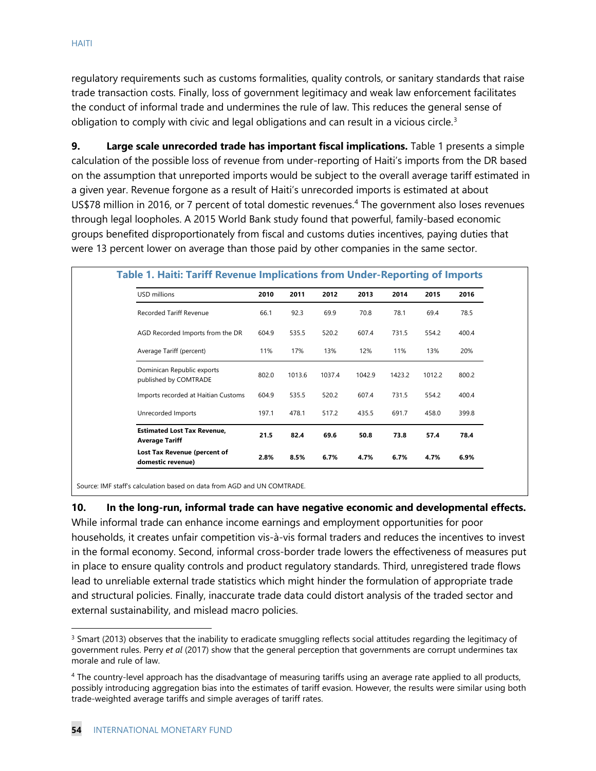regulatory requirements such as customs formalities, quality controls, or sanitary standards that raise trade transaction costs. Finally, loss of government legitimacy and weak law enforcement facilitates the conduct of informal trade and undermines the rule of law. This reduces the general sense of obligation to comply with civic and legal obligations and can result in a vicious circle. $3$ 

**9. Large scale unrecorded trade has important fiscal implications.** Table 1 presents a simple calculation of the possible loss of revenue from under-reporting of Haiti's imports from the DR based on the assumption that unreported imports would be subject to the overall average tariff estimated in a given year. Revenue forgone as a result of Haiti's unrecorded imports is estimated at about US\$78 million in 2016, or 7 percent of total domestic revenues.<sup>[4](#page-54-1)</sup> The government also loses revenues through legal loopholes. A 2015 World Bank study found that powerful, family-based economic groups benefited disproportionately from fiscal and customs duties incentives, paying duties that were 13 percent lower on average than those paid by other companies in the same sector.

| USD millions                                                | 2010  | 2011   | 2012   | 2013   | 2014   | 2015   | 2016  |
|-------------------------------------------------------------|-------|--------|--------|--------|--------|--------|-------|
| Recorded Tariff Revenue                                     | 66.1  | 92.3   | 69.9   | 70.8   | 78.1   | 69.4   | 78.5  |
| AGD Recorded Imports from the DR                            | 604.9 | 535.5  | 520.2  | 607.4  | 731.5  | 554.2  | 400.4 |
| Average Tariff (percent)                                    | 11%   | 17%    | 13%    | 12%    | 11%    | 13%    | 20%   |
| Dominican Republic exports<br>published by COMTRADE         | 802.0 | 1013.6 | 1037.4 | 1042.9 | 1423.2 | 1012.2 | 800.2 |
| Imports recorded at Haitian Customs                         | 604.9 | 535.5  | 520.2  | 607.4  | 731.5  | 554.2  | 400.4 |
| Unrecorded Imports                                          | 197.1 | 478.1  | 517.2  | 435.5  | 691.7  | 458.0  | 399.8 |
| <b>Estimated Lost Tax Revenue,</b><br><b>Average Tariff</b> | 21.5  | 82.4   | 69.6   | 50.8   | 73.8   | 57.4   | 78.4  |
| Lost Tax Revenue (percent of<br>domestic revenue)           | 2.8%  | 8.5%   | 6.7%   | 4.7%   | 6.7%   | 4.7%   | 6.9%  |

Source: IMF staff's calculation based on data from AGD and UN COMTRADE.

#### **10. In the long-run, informal trade can have negative economic and developmental effects.**

While informal trade can enhance income earnings and employment opportunities for poor households, it creates unfair competition vis-à-vis formal traders and reduces the incentives to invest in the formal economy. Second, informal cross-border trade lowers the effectiveness of measures put in place to ensure quality controls and product regulatory standards. Third, unregistered trade flows lead to unreliable external trade statistics which might hinder the formulation of appropriate trade and structural policies. Finally, inaccurate trade data could distort analysis of the traded sector and external sustainability, and mislead macro policies.

<span id="page-54-0"></span> $3$  Smart (2013) observes that the inability to eradicate smuggling reflects social attitudes regarding the legitimacy of government rules. Perry *et al* (2017) show that the general perception that governments are corrupt undermines tax morale and rule of law.

<span id="page-54-1"></span><sup>4</sup> The country-level approach has the disadvantage of measuring tariffs using an average rate applied to all products, possibly introducing aggregation bias into the estimates of tariff evasion. However, the results were similar using both trade-weighted average tariffs and simple averages of tariff rates.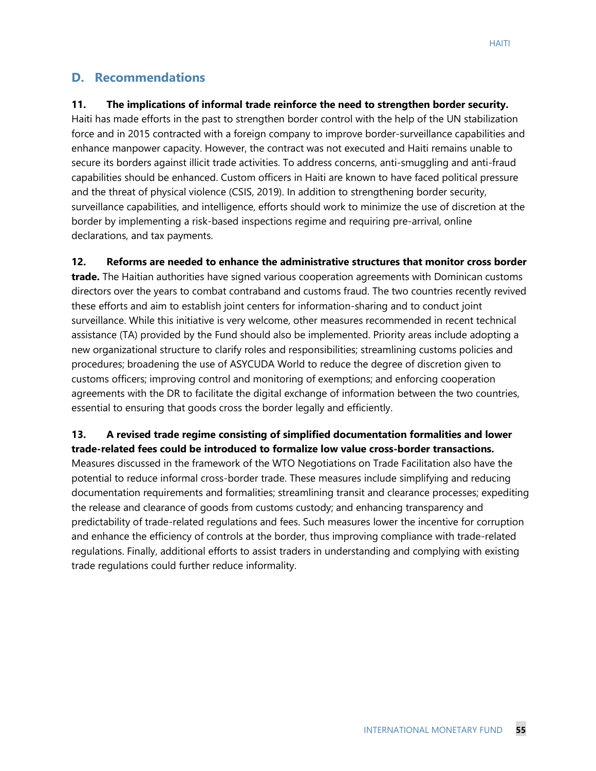## **D. Recommendations**

#### **11. The implications of informal trade reinforce the need to strengthen border security.**

Haiti has made efforts in the past to strengthen border control with the help of the UN stabilization force and in 2015 contracted with a foreign company to improve border-surveillance capabilities and enhance manpower capacity. However, the contract was not executed and Haiti remains unable to secure its borders against illicit trade activities. To address concerns, anti-smuggling and anti-fraud capabilities should be enhanced. Custom officers in Haiti are known to have faced political pressure and the threat of physical violence (CSIS, 2019). In addition to strengthening border security, surveillance capabilities, and intelligence, efforts should work to minimize the use of discretion at the border by implementing a risk-based inspections regime and requiring pre-arrival, online declarations, and tax payments.

**12. Reforms are needed to enhance the administrative structures that monitor cross border** 

**trade.** The Haitian authorities have signed various cooperation agreements with Dominican customs directors over the years to combat contraband and customs fraud. The two countries recently revived these efforts and aim to establish joint centers for information-sharing and to conduct joint surveillance. While this initiative is very welcome, other measures recommended in recent technical assistance (TA) provided by the Fund should also be implemented. Priority areas include adopting a new organizational structure to clarify roles and responsibilities; streamlining customs policies and procedures; broadening the use of ASYCUDA World to reduce the degree of discretion given to customs officers; improving control and monitoring of exemptions; and enforcing cooperation agreements with the DR to facilitate the digital exchange of information between the two countries, essential to ensuring that goods cross the border legally and efficiently.

**13. A revised trade regime consisting of simplified documentation formalities and lower trade-related fees could be introduced to formalize low value cross-border transactions.** Measures discussed in the framework of the WTO Negotiations on Trade Facilitation also have the potential to reduce informal cross-border trade. These measures include simplifying and reducing documentation requirements and formalities; streamlining transit and clearance processes; expediting the release and clearance of goods from customs custody; and enhancing transparency and predictability of trade-related regulations and fees. Such measures lower the incentive for corruption and enhance the efficiency of controls at the border, thus improving compliance with trade-related regulations. Finally, additional efforts to assist traders in understanding and complying with existing trade regulations could further reduce informality.